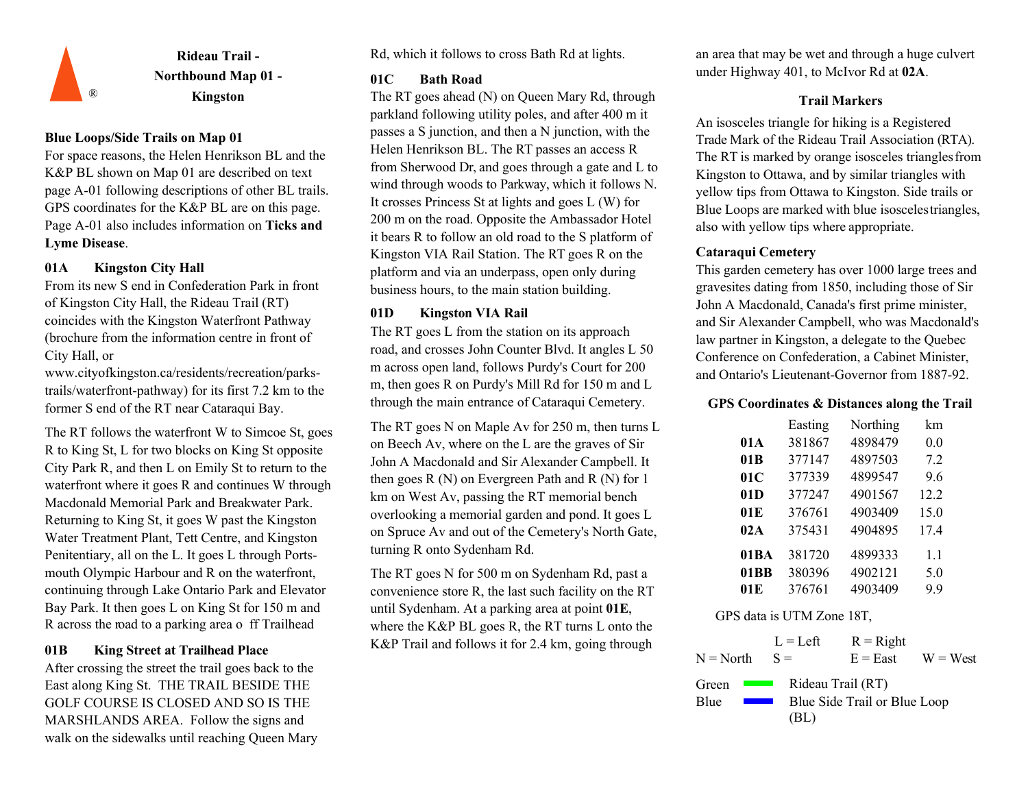

## **Blue Loops/Side Trails on Map 01**

For space reasons, the Helen Henrikson BL and the K&P BL shown on Map 01 are described on text page A-01 following descriptions of other BL trails. GPS coordinates for the K&P BL are on this page. Page A-01 also includes information on **Ticks and Lyme Disease**.

## **01A Kingston City Hall**

From its new S end in Confederation Park in front of Kingston City Hall, the Rideau Trail (RT) coincides with the Kingston Waterfront Pathway (brochure from the information centre in front of City Hall, o[r](http://www.cityofkingston.ca/residents/recreation/parks-)

[www.cityofkingston.ca/residents/recreation/parks](http://www.cityofkingston.ca/residents/recreation/parks-)trails/waterfront-pathway) for its first 7.2 km to the former S end of the RT near Cataraqui Bay.

The RT follows the waterfront W to Simcoe St, goes R to King St, L for two blocks on King St opposite City Park R, and then L on Emily St to return to the waterfront where it goes R and continues W through Macdonald Memorial Park and Breakwater Park. Returning to King St, it goes W past the Kingston Water Treatment Plant, Tett Centre, and Kingston Penitentiary, all on the L. It goes L through Portsmouth Olympic Harbour and R on the waterfront, continuing through Lake Ontario Park and Elevator Bay Park. It then goes L on King St for 150 m and R across the road to a parking area o ff Trailhead

## **01B King Street at Trailhead Place**

After crossing the street the trail goes back to the East along King St. THE TRAIL BESIDE THE GOLF COURSE IS CLOSED AND SO IS THE MARSHLANDS AREA. Follow the signs and walk on the sidewalks until reaching Queen Mary Rd, which it follows to cross Bath Rd at lights.

## **01C Bath Road**

® **Kingston Trail Markers** The RT goes ahead (N) on Queen Mary Rd, through parkland following utility poles, and after 400 m it passes a S junction, and then a N junction, with the Helen Henrikson BL. The RT passes an access R from Sherwood Dr, and goes through a gate and L to wind through woods to Parkway, which it follows N. It crosses Princess St at lights and goes L (W) for 200 m on the road. Opposite the Ambassador Hotel it bears R to follow an old road to the S platform of Kingston VIA Rail Station. The RT goes R on the platform and via an underpass, open only during business hours, to the main station building.

## **01D Kingston VIA Rail**

The RT goes L from the station on its approach road, and crosses John Counter Blvd. It angles L 50 m across open land, follows Purdy's Court for 200 m, then goes R on Purdy's Mill Rd for 150 m and L through the main entrance of Cataraqui Cemetery.

The RT goes N on Maple Av for 250 m, then turns L on Beech Av, where on the L are the graves of Sir John A Macdonald and Sir Alexander Campbell. It then goes R (N) on Evergreen Path and R (N) for 1 km on West Av, passing the RT memorial bench overlooking a memorial garden and pond. It goes L on Spruce Av and out of the Cemetery's North Gate, turning R onto Sydenham Rd.

The RT goes N for 500 m on Sydenham Rd, past a convenience store R, the last such facility on the RT until Sydenham. At a parking area at point **01E**, where the K&P BL goes R, the RT turns L onto the K&P Trail and follows it for 2.4 km, going through

an area that may be wet and through a huge culvert under Highway 401, to McIvor Rd at **02A**.

An isosceles triangle for hiking is a Registered Trade Mark of the Rideau Trail Association (RTA). The RT is marked by orange isosceles trianglesfrom Kingston to Ottawa, and by similar triangles with yellow tips from Ottawa to Kingston. Side trails or Blue Loops are marked with blue isoscelestriangles, also with yellow tips where appropriate.

## **Cataraqui Cemetery**

This garden cemetery has over 1000 large trees and gravesites dating from 1850, including those of Sir John A Macdonald, Canada's first prime minister, and Sir Alexander Campbell, who was Macdonald's law partner in Kingston, a delegate to the Quebec Conference on Confederation, a Cabinet Minister, and Ontario's Lieutenant-Governor from 1887-92.

## **GPS Coordinates & Distances along the Trail**

|      | Easting | Northing | km   |
|------|---------|----------|------|
| 01 A | 381867  | 4898479  | 0.0  |
| 01B  | 377147  | 4897503  | 7.2  |
| 01C  | 377339  | 4899547  | 9.6  |
| 01D  | 377247  | 4901567  | 12.2 |
| 01E  | 376761  | 4903409  | 15.0 |
| 02A  | 375431  | 4904895  | 17.4 |
| 01BA | 381720  | 4899333  | 1.1  |
| 01BB | 380396  | 4902121  | 5.0  |
| 01 E | 376761  | 4903409  | 9.9  |

|                                   | $L = Left$        | $R = Right$                  |            |
|-----------------------------------|-------------------|------------------------------|------------|
| $N = North$                       | $S =$             | $E = East$                   | $W = West$ |
| Green<br><b>Contract Contract</b> | Rideau Trail (RT) |                              |            |
| Blue                              |                   | Blue Side Trail or Blue Loop |            |
|                                   | (BL)              |                              |            |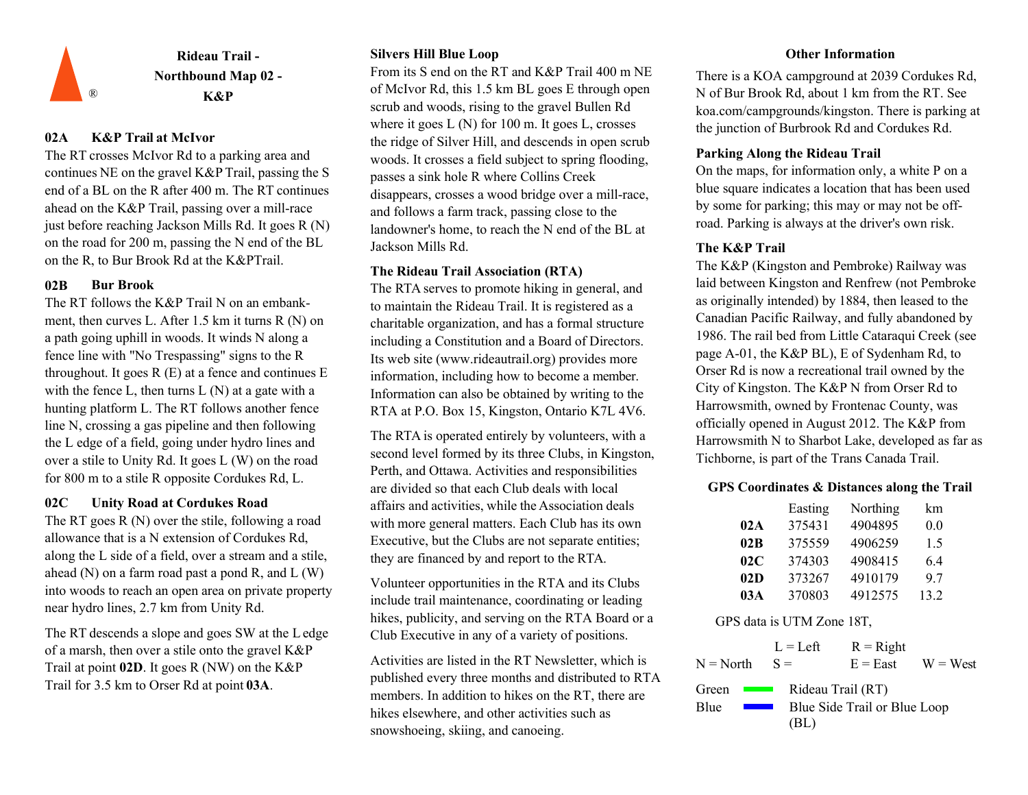![](_page_1_Picture_0.jpeg)

## **02A K&P Trail at McIvor**

The RT crosses McIvor Rd to a parking area and continues NE on the gravel K&P Trail, passing the S end of a BL on the R after 400 m. The RT continues ahead on the K&P Trail, passing over a mill-race just before reaching Jackson Mills Rd. It goes R (N) on the road for 200 m, passing the N end of the BL on the R, to Bur Brook Rd at the K&PTrail.

## **02B Bur Brook**

The RT follows the K&P Trail N on an embankment, then curves L. After 1.5 km it turns R (N) on a path going uphill in woods. It winds N along a fence line with "No Trespassing" signs to the R throughout. It goes  $R(E)$  at a fence and continues  $E$ with the fence L, then turns  $L(N)$  at a gate with a hunting platform L. The RT follows another fence line N, crossing a gas pipeline and then following the L edge of a field, going under hydro lines and over a stile to Unity Rd. It goes L (W) on the road

The RT goes R (N) over the stile, following a road allowance that is a N extension of Cordukes Rd, along the L side of a field, over a stream and a stile, ahead  $(N)$  on a farm road past a pond R, and  $L(W)$ into woods to reach an open area on private property near hydro lines, 2.7 km from Unity Rd.

The RT descends a slope and goes SW at the Ledge of a marsh, then over a stile onto the gravel K&P Trail at point **02D**. It goes R (NW) on the K&P Trail for 3.5 km to Orser Rd at point **03A**.

## **Silvers Hill Blue Loop**

From its S end on the RT and K&P Trail 400 m NE of McIvor Rd, this 1.5 km BL goes E through open scrub and woods, rising to the gravel Bullen Rd where it goes L (N) for 100 m. It goes L, crosses the ridge of Silver Hill, and descends in open scrub woods. It crosses a field subject to spring flooding, passes a sink hole R where Collins Creek disappears, crosses a wood bridge over a mill-race, and follows a farm track, passing close to the landowner's home, to reach the N end of the BL at Jackson Mills Rd.

### **The Rideau Trail Association (RTA)**

The RTA serves to promote hiking in general, and to maintain the Rideau Trail. It is registered as a charitable organization, and has a formal structure including a Constitution and a Board of Directors. Its web site (www.rideautrail.org) provides more information, including how to become a member. Information can also be obtained by writing to the RTA at P.O. Box 15, Kingston, Ontario K7L 4V6.

The RTA is operated entirely by volunteers, with a second level formed by its three Clubs, in Kingston, Perth, and Ottawa. Activities and responsibilities are divided so that each Club deals with local **02C Unity Road at Cordukes Road 1988 a** activities, while the Association deals **Easting** with more general matters. Each Club has its own Executive, but the Clubs are not separate entities; they are financed by and report to the RTA. for 800 m to a stile R opposite Cordukes Rd, L.<br>are divided so that each Club deals with local **GPS Coordinates & Distances along the Trail**<br>**Q2C** Unity Road at Cordukes Road affairs and activities while the Association de

> Volunteer opportunities in the RTA and its Clubs include trail maintenance, coordinating or leading hikes, publicity, and serving on the RTA Board or a Club Executive in any of a variety of positions.

Activities are listed in the RT Newsletter, which is published every three months and distributed to RTA members. In addition to hikes on the RT, there are hikes elsewhere, and other activities such as snowshoeing, skiing, and canoeing.

### **Other Information**

There is a KOA campground at 2039 Cordukes Rd, N of Bur Brook Rd, about 1 km from the RT. See koa.com/campgrounds/kingston. There is parking at the junction of Burbrook Rd and Cordukes Rd.

## **Parking Along the Rideau Trail**

On the maps, for information only, a white P on a blue square indicates a location that has been used by some for parking; this may or may not be offroad. Parking is always at the driver's own risk.

## **The K&P Trail**

The K&P (Kingston and Pembroke) Railway was laid between Kingston and Renfrew (not Pembroke as originally intended) by 1884, then leased to the Canadian Pacific Railway, and fully abandoned by 1986. The rail bed from Little Cataraqui Creek (see page A-01, the K&P BL), E of Sydenham Rd, to Orser Rd is now a recreational trail owned by the City of Kingston. The K&P N from Orser Rd to Harrowsmith, owned by Frontenac County, was officially opened in August 2012. The K&P from Harrowsmith N to Sharbot Lake, developed as far as Tichborne, is part of the Trans Canada Trail.

|     | Easting | Northing | km   |
|-----|---------|----------|------|
| 02A | 375431  | 4904895  | 0.0  |
| 02B | 375559  | 4906259  | 1.5  |
| 02C | 374303  | 4908415  | 6.4  |
| 02D | 373267  | 4910179  | 9.7  |
| 03A | 370803  | 4912575  | 13.2 |

|                                           | $L = Left$ | $R =$ Right                                       |            |
|-------------------------------------------|------------|---------------------------------------------------|------------|
| $N = North$                               | $S =$      | $E = East$                                        | $W = West$ |
| Green<br><b>Contract Contract</b><br>Blue | (BL)       | Rideau Trail (RT)<br>Blue Side Trail or Blue Loop |            |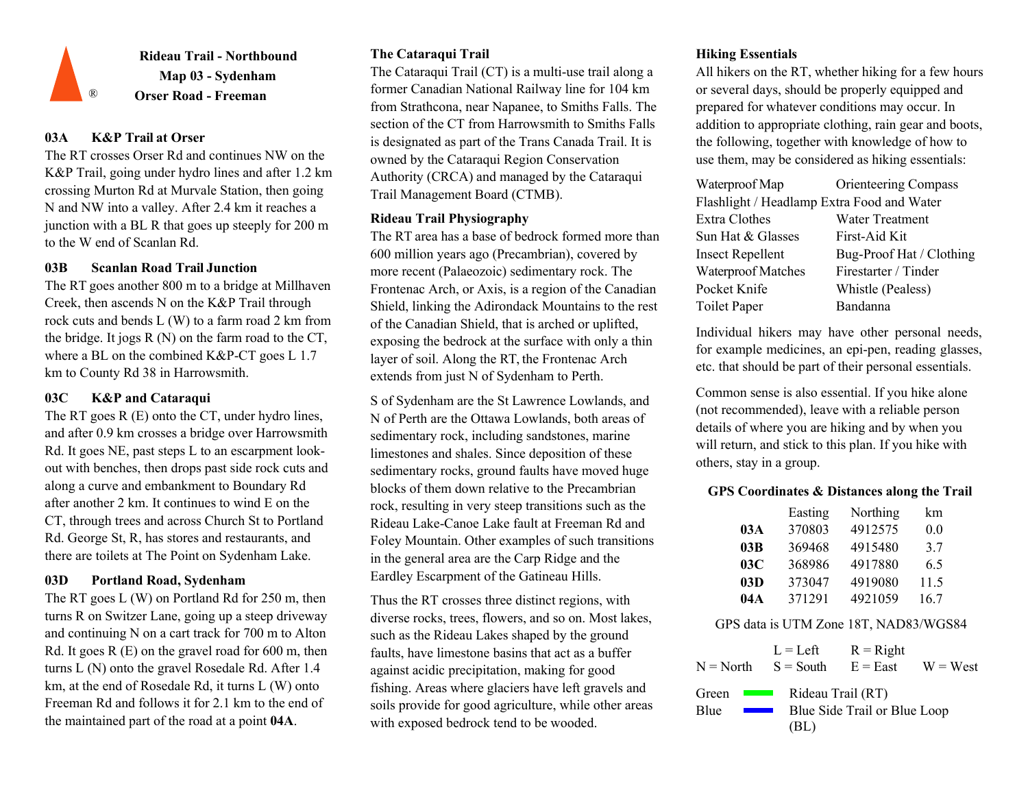![](_page_2_Picture_0.jpeg)

## **03A K&P Trail at Orser**

The RT crosses Orser Rd and continues NW on the K&P Trail, going under hydro lines and after 1.2 km crossing Murton Rd at Murvale Station, then going N and NW into a valley. After 2.4 km it reaches a junction with a BL R that goes up steeply for 200 m to the W end of Scanlan Rd.

## **03B Scanlan Road Trail Junction**

The RT goes another 800 m to a bridge at Millhaven Creek, then ascends N on the K&P Trail through rock cuts and bends L (W) to a farm road 2 km from the bridge. It jogs  $R(N)$  on the farm road to the CT, where a BL on the combined K&P-CT goes L 1.7 km to County Rd 38 in Harrowsmith.

## **03C K&P and Cataraqui**

The RT goes R (E) onto the CT, under hydro lines, and after 0.9 km crosses a bridge over Harrowsmith Rd. It goes NE, past steps L to an escarpment lookout with benches, then drops past side rock cuts and along a curve and embankment to Boundary Rd after another 2 km. It continues to wind E on the CT, through trees and across Church St to Portland Rd. George St, R, has stores and restaurants, and there are toilets at The Point on Sydenham Lake.

## **03D Portland Road, Sydenham**

The RT goes L (W) on Portland Rd for 250 m, then turns R on Switzer Lane, going up a steep driveway and continuing N on a cart track for 700 m to Alton Rd. It goes  $R(E)$  on the gravel road for 600 m, then turns L (N) onto the gravel Rosedale Rd. After 1.4 km, at the end of Rosedale Rd, it turns L (W) onto Freeman Rd and follows it for 2.1 km to the end of the maintained part of the road at a point **04A**.

## **The Cataraqui Trail**

The Cataraqui Trail (CT) is a multi-use trail along a former Canadian National Railway line for 104 km from Strathcona, near Napanee, to Smiths Falls. The section of the CT from Harrowsmith to Smiths Falls is designated as part of the Trans Canada Trail. It is owned by the Cataraqui Region Conservation Authority (CRCA) and managed by the Cataraqui Trail Management Board (CTMB).

## **Rideau Trail Physiography**

The RT area has a base of bedrock formed more than 600 million years ago (Precambrian), covered by more recent (Palaeozoic) sedimentary rock. The Frontenac Arch, or Axis, is a region of the Canadian Shield, linking the Adirondack Mountains to the rest of the Canadian Shield, that is arched or uplifted, exposing the bedrock at the surface with only a thin layer of soil. Along the RT, the Frontenac Arch extends from just N of Sydenham to Perth.

S of Sydenham are the St Lawrence Lowlands, and N of Perth are the Ottawa Lowlands, both areas of sedimentary rock, including sandstones, marine limestones and shales. Since deposition of these sedimentary rocks, ground faults have moved huge blocks of them down relative to the Precambrian rock, resulting in very steep transitions such as the Rideau Lake-Canoe Lake fault at Freeman Rd and Foley Mountain. Other examples of such transitions in the general area are the Carp Ridge and the Eardley Escarpment of the Gatineau Hills.

Thus the RT crosses three distinct regions, with diverse rocks, trees, flowers, and so on. Most lakes, such as the Rideau Lakes shaped by the ground faults, have limestone basins that act as a buffer against acidic precipitation, making for good fishing. Areas where glaciers have left gravels and soils provide for good agriculture, while other areas with exposed bedrock tend to be wooded.

## **Hiking Essentials**

All hikers on the RT, whether hiking for a few hours or several days, should be properly equipped and prepared for whatever conditions may occur. In addition to appropriate clothing, rain gear and boots, the following, together with knowledge of how to use them, may be considered as hiking essentials:

| Waterproof Map                             | <b>Orienteering Compass</b> |
|--------------------------------------------|-----------------------------|
| Flashlight / Headlamp Extra Food and Water |                             |
| Extra Clothes                              | Water Treatment             |
| Sun Hat & Glasses                          | First-Aid Kit               |
| <b>Insect Repellent</b>                    | Bug-Proof Hat / Clothing    |
| Waterproof Matches                         | Firestarter / Tinder        |
| Pocket Knife                               | Whistle (Pealess)           |
| Toilet Paper                               | Bandanna                    |

Individual hikers may have other personal needs, for example medicines, an epi-pen, reading glasses, etc. that should be part of their personal essentials.

Common sense is also essential. If you hike alone (not recommended), leave with a reliable person details of where you are hiking and by when you will return, and stick to this plan. If you hike with others, stay in a group.

## **GPS Coordinates & Distances along the Trail**

|     | Easting | Northing | km   |
|-----|---------|----------|------|
| 03A | 370803  | 4912575  | 0.0  |
| 03B | 369468  | 4915480  | 3.7  |
| 03C | 368986  | 4917880  | 6.5  |
| 03D | 373047  | 4919080  | 11.5 |
| 04A | 371291  | 4921059  | 16.7 |

## GPS data is UTM Zone 18T, NAD83/WGS84

| N = North                                                                                                                                                   | $L = Left$<br>$S =$ South | $R = Right$<br>$E = East$    | $W = West$ |
|-------------------------------------------------------------------------------------------------------------------------------------------------------------|---------------------------|------------------------------|------------|
| Green<br><b>Contract Contract</b><br>Blue<br>and the state of the state of the state of the state of the state of the state of the state of the state of th | Rideau Trail (RT)<br>(BL) | Blue Side Trail or Blue Loop |            |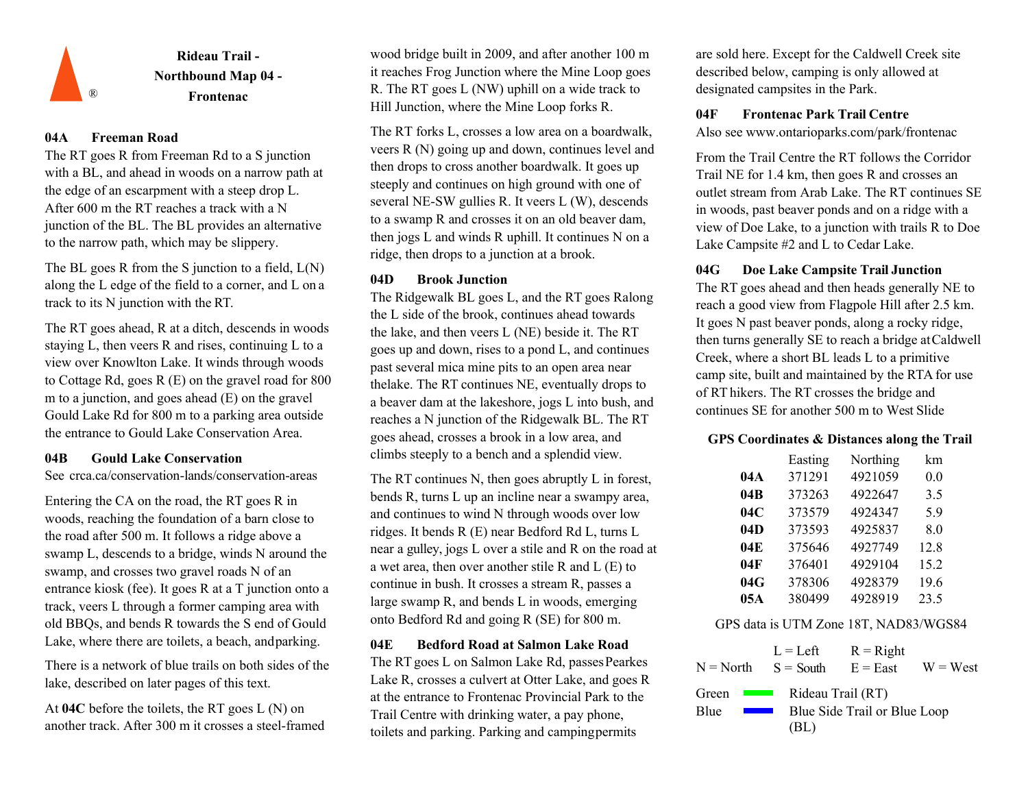![](_page_3_Picture_0.jpeg)

## **04A Freeman Road**

The RT goes R from Freeman Rd to a S junction with a BL, and ahead in woods on a narrow path at the edge of an escarpment with a steep drop L. After 600 m the RT reaches a track with a N junction of the BL. The BL provides an alternative to the narrow path, which may be slippery.

The BL goes R from the S junction to a field,  $L(N)$ along the L edge of the field to a corner, and L on a track to its N junction with the RT.

The RT goes ahead, R at a ditch, descends in woods staying L, then veers R and rises, continuing L to a view over Knowlton Lake. It winds through woods to Cottage Rd, goes R (E) on the gravel road for 800 m to a junction, and goes ahead (E) on the gravel Gould Lake Rd for 800 m to a parking area outside the entrance to Gould Lake Conservation Area.

See crca.ca/conservation-lands/conservation-areas

Entering the CA on the road, the RT goes R in woods, reaching the foundation of a barn close to the road after 500 m. It follows a ridge above a swamp L, descends to a bridge, winds N around the swamp, and crosses two gravel roads N of an entrance kiosk (fee). It goes R at a T junction onto a track, veers L through a former camping area with old BBQs, and bends R towards the S end of Gould Lake, where there are toilets, a beach, andparking.

There is a network of blue trails on both sides of the lake, described on later pages of this text.

At **04C** before the toilets, the RT goes L (N) on another track. After 300 m it crosses a steel-framed wood bridge built in 2009, and after another 100 m it reaches Frog Junction where the Mine Loop goes R. The RT goes L (NW) uphill on a wide track to Hill Junction, where the Mine Loop forks R.

The RT forks L, crosses a low area on a boardwalk, veers R (N) going up and down, continues level and then drops to cross another boardwalk. It goes up steeply and continues on high ground with one of several NE-SW gullies R. It veers L (W), descends to a swamp R and crosses it on an old beaver dam, then jogs L and winds R uphill. It continues N on a ridge, then drops to a junction at a brook.

The Ridgewalk BL goes L, and the RT goes Ralong the L side of the brook, continues ahead towards the lake, and then veers L (NE) beside it. The RT goes up and down, rises to a pond L, and continues past several mica mine pits to an open area near thelake. The RT continues NE, eventually drops to a beaver dam at the lakeshore, jogs L into bush, and reaches a N junction of the Ridgewalk BL. The RT goes ahead, crosses a brook in a low area, and **04B Gould Lake Conservation Climbs steeply to a bench and a splendid view.** Easting

> The RT continues N, then goes abruptly L in forest, bends R, turns L up an incline near a swampy area, and continues to wind N through woods over low ridges. It bends R (E) near Bedford Rd L, turns L near a gulley, jogs L over a stile and R on the road at a wet area, then over another stile R and L (E) to continue in bush. It crosses a stream R, passes a large swamp R, and bends L in woods, emerging onto Bedford Rd and going R (SE) for 800 m.

**04E Bedford Road at Salmon Lake Road L** = Left The RT goes L on Salmon Lake Rd, passes Pearkes  $N = North$   $S = South$   $E = East$ Lake R, crosses a culvert at Otter Lake, and goes R at the entrance to Frontenac Provincial Park to the Trail Centre with drinking water, a pay phone, toilets and parking. Parking and campingpermits

are sold here. Except for the Caldwell Creek site described below, camping is only allowed at designated campsites in the Park.

## **04F Frontenac Park Trail Centre**

Also se[e www.ontarioparks.com/park/frontenac](http://www.ontarioparks.com/park/frontenac)

From the Trail Centre the RT follows the Corridor Trail NE for 1.4 km, then goes R and crosses an outlet stream from Arab Lake. The RT continues SE in woods, past beaver ponds and on a ridge with a view of Doe Lake, to a junction with trails R to Doe Lake Campsite #2 and L to Cedar Lake.

## **04G Doe Lake Campsite Trail Junction**

**04D Brook Junction**<br>The RT goes ahead and then heads generally NE to reach a good view from Flagpole Hill after 2.5 km. It goes N past beaver ponds, along a rocky ridge, then turns generally SE to reach a bridge atCaldwell Creek, where a short BL leads L to a primitive camp site, built and maintained by the RTA for use of RT hikers. The RT crosses the bridge and continues SE for another 500 m to West Slide

## **GPS Coordinates & Distances along the Trail**

|     | Easting | Northing | km   |
|-----|---------|----------|------|
| 04A | 371291  | 4921059  | 0.0  |
| 04B | 373263  | 4922647  | 3.5  |
| 04C | 373579  | 4924347  | 5.9  |
| 04D | 373593  | 4925837  | 8.0  |
| 04E | 375646  | 4927749  | 12.8 |
| 04F | 376401  | 4929104  | 15.2 |
| 04G | 378306  | 4928379  | 19.6 |
| 05A | 380499  | 4928919  | 23.5 |

## GPS data is UTM Zone 18T, NAD83/WGS84

 $S =$  South  $R =$ Right  $N = North$   $S = South$   $E = East$   $W = West$ Green Blue Rideau Trail (RT) Blue Side Trail or Blue Loop (BL)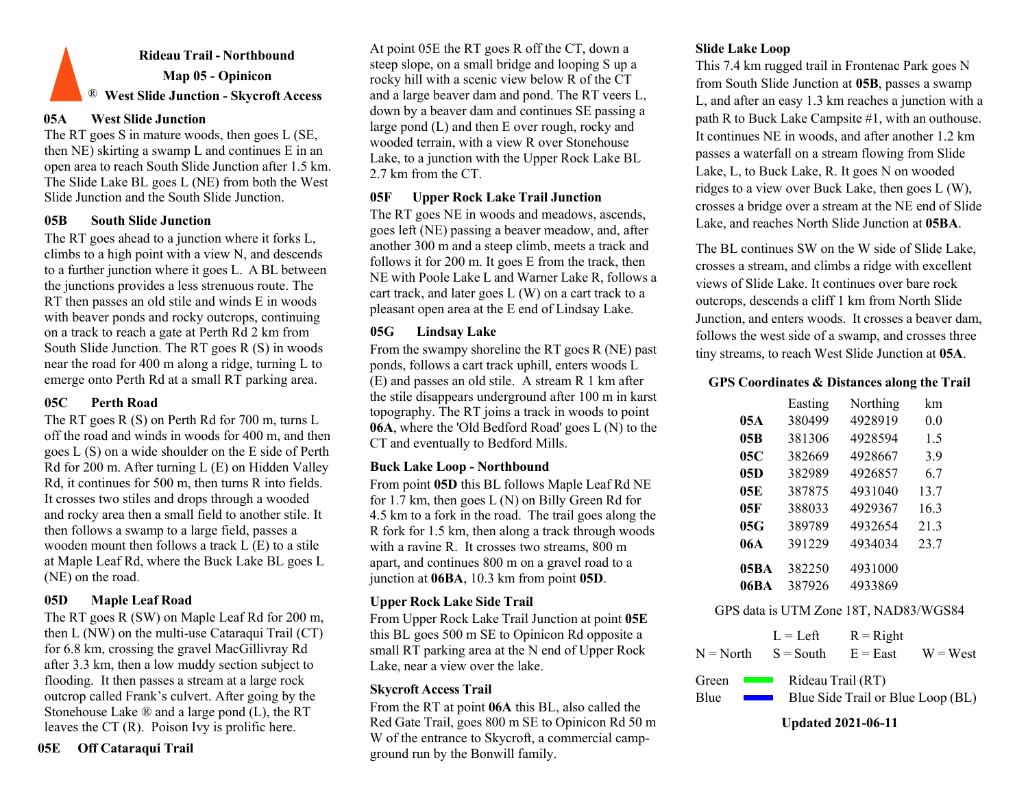# **Rideau Trail - Northbound Map 05 - Opinicon** ® **West Slide Junction - Skycroft Access**

### **05A West Slide Junction**

The RT goes S in mature woods, then goes L (SE, then NE) skirting a swamp L and continues E in an open area to reach South Slide Junction after 1.5 km. The Slide Lake BL goes L (NE) from both the West Slide Junction and the South Slide Junction.

### **05B South Slide Junction**

The RT goes ahead to a junction where it forks L, climbs to a high point with a view N, and descends to a further junction where it goes L. A BL between the junctions provides a less strenuous route. The RT then passes an old stile and winds E in woods with beaver ponds and rocky outcrops, continuing on a track to reach a gate at Perth Rd 2 km from South Slide Junction. The RT goes R (S) in woods near the road for 400 m along a ridge, turning L to emerge onto Perth Rd at a small RT parking area.

## **05C Perth Road**

The RT goes R (S) on Perth Rd for 700 m, turns L off the road and winds in woods for 400 m, and then goes L (S) on a wide shoulder on the E side of Perth Rd for 200 m. After turning L (E) on Hidden Valley Rd, it continues for 500 m, then turns R into fields. It crosses two stiles and drops through a wooded and rocky area then a small field to another stile. It then follows a swamp to a large field, passes a wooden mount then follows a track L (E) to a stile at Maple Leaf Rd, where the Buck Lake BL goes L (NE) on the road.

## **05D Maple Leaf Road**

The RT goes R (SW) on Maple Leaf Rd for 200 m, then L (NW) on the multi-use Cataraqui Trail (CT) for 6.8 km, crossing the gravel MacGillivray Rd after 3.3 km, then a low muddy section subject to flooding. It then passes a stream at a large rock outcrop called Frank's culvert. After going by the Stonehouse Lake ® and a large pond (L), the RT leaves the CT (R). Poison Ivy is prolific here.

## **05E Off Cataraqui Trail**

At point 05E the RT goes R off the CT, down a steep slope, on a small bridge and looping S up a rocky hill with a scenic view below R of the CT and a large beaver dam and pond. The RT veers L, down by a beaver dam and continues SE passing a large pond (L) and then E over rough, rocky and wooded terrain, with a view R over Stonehouse Lake, to a junction with the Upper Rock Lake BL 2.7 km from the CT.

## **05F Upper Rock Lake Trail Junction**

The RT goes NE in woods and meadows, ascends, goes left (NE) passing a beaver meadow, and, after another 300 m and a steep climb, meets a track and follows it for 200 m. It goes E from the track, then NE with Poole Lake L and Warner Lake R, follows a cart track, and later goes L (W) on a cart track to a pleasant open area at the E end of Lindsay Lake.

## **05G Lindsay Lake**

From the swampy shoreline the RT goes R (NE) past ponds, follows a cart track uphill, enters woods L (E) and passes an old stile. A stream R 1 km after the stile disappears underground after 100 m in karst topography. The RT joins a track in woods to point **06A**, where the 'Old Bedford Road' goes L (N) to the CT and eventually to Bedford Mills.

## **Buck Lake Loop - Northbound**

From point **05D** this BL follows Maple Leaf Rd NE for 1.7 km, then goes L (N) on Billy Green Rd for 4.5 km to a fork in the road. The trail goes along the R fork for 1.5 km, then along a track through woods with a ravine R. It crosses two streams, 800 m apart, and continues 800 m on a gravel road to a junction at **06BA**, 10.3 km from point **05D**.

## **Upper Rock Lake Side Trail**

From Upper Rock Lake Trail Junction at point **05E** this BL goes 500 m SE to Opinicon Rd opposite a small RT parking area at the N end of Upper Rock Lake, near a view over the lake.

## **Skycroft Access Trail**

From the RT at point **06A** this BL, also called the Red Gate Trail, goes 800 m SE to Opinicon Rd 50 m W of the entrance to Skycroft, a commercial campground run by the Bonwill family.

## **Slide Lake Loop**

This 7.4 km rugged trail in Frontenac Park goes N from South Slide Junction at **05B**, passes a swamp L, and after an easy 1.3 km reaches a junction with a path R to Buck Lake Campsite #1, with an outhouse. It continues NE in woods, and after another 1.2 km passes a waterfall on a stream flowing from Slide Lake, L, to Buck Lake, R. It goes N on wooded ridges to a view over Buck Lake, then goes L (W), crosses a bridge over a stream at the NE end of Slide Lake, and reaches North Slide Junction at **05BA**.

The BL continues SW on the W side of Slide Lake, crosses a stream, and climbs a ridge with excellent views of Slide Lake. It continues over bare rock outcrops, descends a cliff 1 km from North Slide Junction, and enters woods. It crosses a beaver dam, follows the west side of a swamp, and crosses three tiny streams, to reach West Slide Junction at **05A**.

### **GPS Coordinates & Distances along the Trail**

|      | Easting | Northing | km   |
|------|---------|----------|------|
| 05A  | 380499  | 4928919  | 0.0  |
| 05B  | 381306  | 4928594  | 1.5  |
| 05C  | 382669  | 4928667  | 3.9  |
| 05D  | 382989  | 4926857  | 67   |
| 05E  | 387875  | 4931040  | 13.7 |
| 05F  | 388033  | 4929367  | 16.3 |
| 05G  | 389789  | 4932654  | 21.3 |
| 06A  | 391229  | 4934034  | 23.7 |
| 05BA | 382250  | 4931000  |      |
| 06BA | 387926  | 4933869  |      |

### GPS data is UTM Zone 18T, NAD83/WGS84

|                                   | $L = Left$<br>$N = North$ $S = South$ | $R =$ Right<br>$E = East \t W = West$ |  |
|-----------------------------------|---------------------------------------|---------------------------------------|--|
| Green<br><b>Contract Contract</b> |                                       | Rideau Trail (RT)                     |  |
| Blue<br><b>Contract Contract</b>  |                                       | Blue Side Trail or Blue Loop (BL)     |  |

### **Updated 2021-06-11**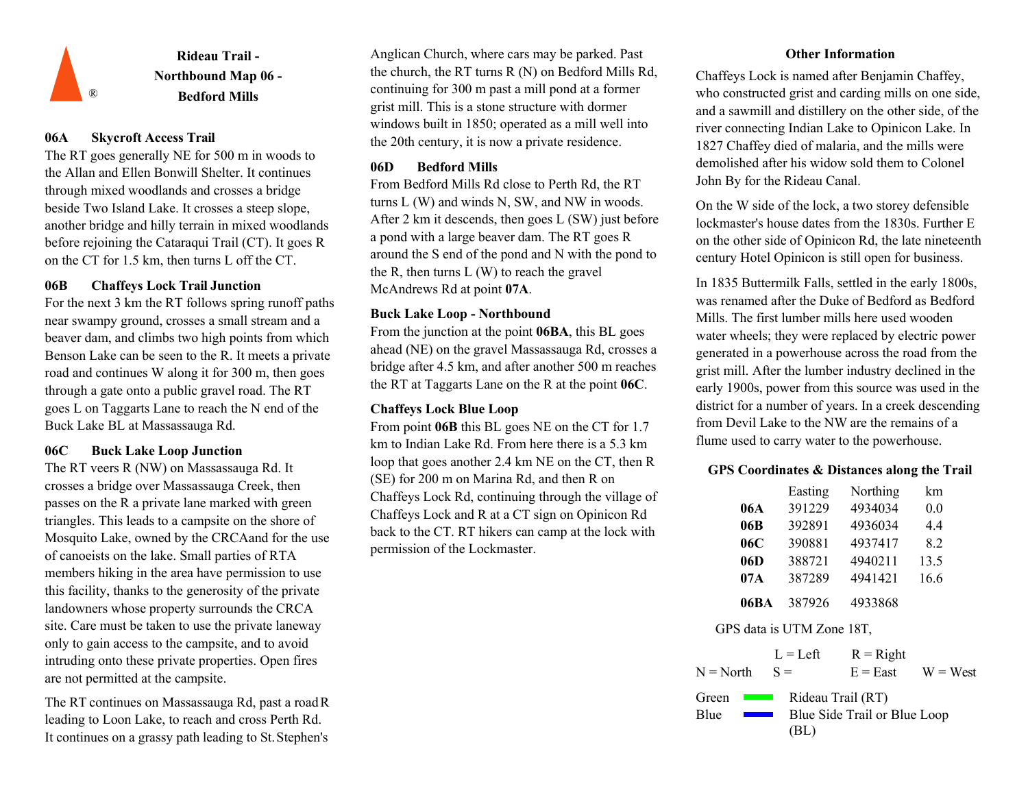![](_page_5_Picture_0.jpeg)

## **06A Skycroft Access Trail**

The RT goes generally NE for 500 m in woods to the Allan and Ellen Bonwill Shelter. It continues through mixed woodlands and crosses a bridge beside Two Island Lake. It crosses a steep slope, another bridge and hilly terrain in mixed woodlands before rejoining the Cataraqui Trail (CT). It goes R on the CT for 1.5 km, then turns L off the CT.

## **06B Chaffeys Lock Trail Junction**

For the next 3 km the RT follows spring runoff paths near swampy ground, crosses a small stream and a beaver dam, and climbs two high points from which Benson Lake can be seen to the R. It meets a private road and continues W along it for 300 m, then goes through a gate onto a public gravel road. The RT goes L on Taggarts Lane to reach the N end of the Buck Lake BL at Massassauga Rd.

## **06C Buck Lake Loop Junction**

The RT veers R (NW) on Massassauga Rd. It crosses a bridge over Massassauga Creek, then passes on the R a private lane marked with green triangles. This leads to a campsite on the shore of Mosquito Lake, owned by the CRCAand for the use of canoeists on the lake. Small parties of RTA members hiking in the area have permission to use this facility, thanks to the generosity of the private landowners whose property surrounds the CRCA site. Care must be taken to use the private laneway only to gain access to the campsite, and to avoid intruding onto these private properties. Open fires are not permitted at the campsite.

The RT continues on Massassauga Rd, past a roadR leading to Loon Lake, to reach and cross Perth Rd. It continues on a grassy path leading to St.Stephen's

Anglican Church, where cars may be parked. Past the church, the RT turns R (N) on Bedford Mills Rd, continuing for 300 m past a mill pond at a former grist mill. This is a stone structure with dormer windows built in 1850; operated as a mill well into the 20th century, it is now a private residence.

## **06D Bedford Mills**

From Bedford Mills Rd close to Perth Rd, the RT turns L (W) and winds N, SW, and NW in woods. After 2 km it descends, then goes L (SW) just before a pond with a large beaver dam. The RT goes R around the S end of the pond and N with the pond to the R, then turns  $L(W)$  to reach the gravel McAndrews Rd at point **07A**.

## **Buck Lake Loop - Northbound**

From the junction at the point **06BA**, this BL goes ahead (NE) on the gravel Massassauga Rd, crosses a bridge after 4.5 km, and after another 500 m reaches the RT at Taggarts Lane on the R at the point **06C**.

## **Chaffeys Lock Blue Loop**

From point **06B** this BL goes NE on the CT for 1.7 km to Indian Lake Rd. From here there is a 5.3 km loop that goes another 2.4 km NE on the CT, then R (SE) for 200 m on Marina Rd, and then R on Chaffeys Lock Rd, continuing through the village of Chaffeys Lock and R at a CT sign on Opinicon Rd back to the CT. RT hikers can camp at the lock with permission of the Lockmaster.

## **Other Information**

Chaffeys Lock is named after Benjamin Chaffey, who constructed grist and carding mills on one side, and a sawmill and distillery on the other side, of the river connecting Indian Lake to Opinicon Lake. In 1827 Chaffey died of malaria, and the mills were demolished after his widow sold them to Colonel John By for the Rideau Canal.

On the W side of the lock, a two storey defensible lockmaster's house dates from the 1830s. Further E on the other side of Opinicon Rd, the late nineteenth century Hotel Opinicon is still open for business.

In 1835 Buttermilk Falls, settled in the early 1800s, was renamed after the Duke of Bedford as Bedford Mills. The first lumber mills here used wooden water wheels; they were replaced by electric power generated in a powerhouse across the road from the grist mill. After the lumber industry declined in the early 1900s, power from this source was used in the district for a number of years. In a creek descending from Devil Lake to the NW are the remains of a flume used to carry water to the powerhouse.

## **GPS Coordinates & Distances along the Trail**

|      | Easting | Northing | km   |
|------|---------|----------|------|
| 06A  | 391229  | 4934034  | 0.0  |
| 06B  | 392891  | 4936034  | 4.4  |
| 06C  | 390881  | 4937417  | 8.2  |
| 06D  | 388721  | 4940211  | 13.5 |
| 07A  | 387289  | 4941421  | 16.6 |
| 06BA | 387926  | 4933868  |      |

### GPS data is UTM Zone 18T,

 $L = L$ eft  $R =$ Right  $N = North$   $S =$   $E = East$   $W = West$  $S =$ Rideau Trail (RT) Green **The Contract Contract Contract Contract** Blue Side Trail or Blue Loop **Blue Contract** (BL)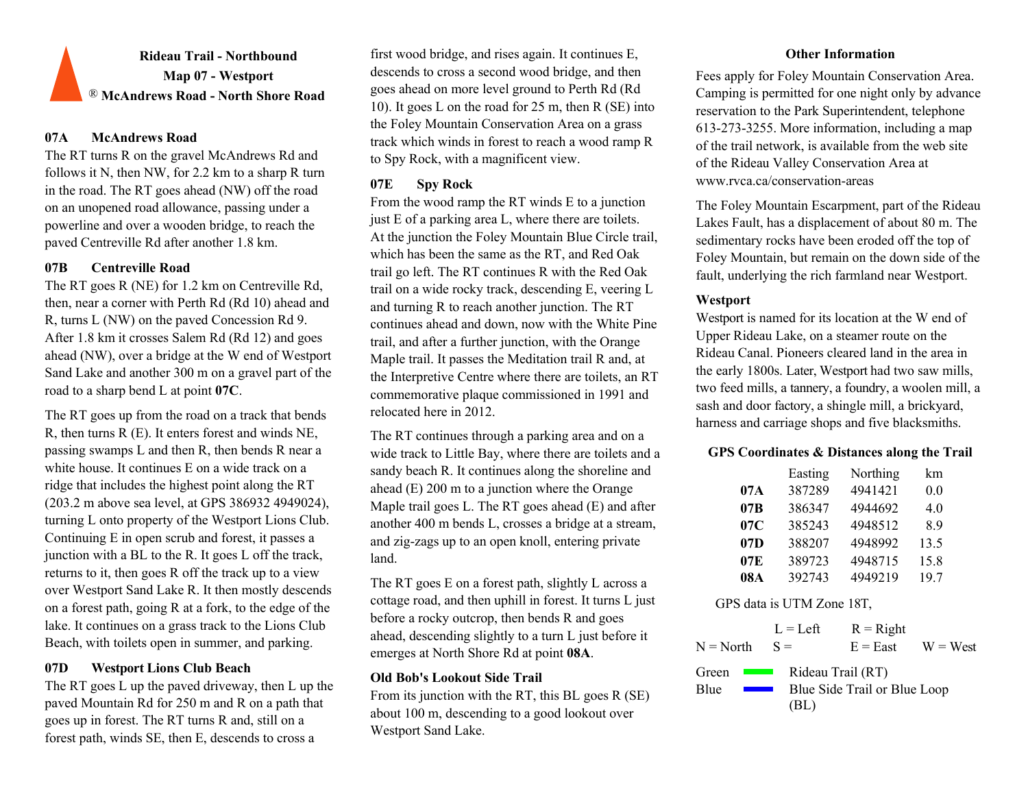# **Rideau Trail - Northbound Map 07 - Westport** ® **McAndrews Road - North Shore Road**

## **07A McAndrews Road**

The RT turns R on the gravel McAndrews Rd and follows it N, then NW, for 2.2 km to a sharp R turn in the road. The RT goes ahead (NW) off the road on an unopened road allowance, passing under a powerline and over a wooden bridge, to reach the paved Centreville Rd after another 1.8 km.

## **07B Centreville Road**

The RT goes R (NE) for 1.2 km on Centreville Rd, then, near a corner with Perth Rd (Rd 10) ahead and R, turns L (NW) on the paved Concession Rd 9. After 1.8 km it crosses Salem Rd (Rd 12) and goes ahead (NW), over a bridge at the W end of Westport Sand Lake and another 300 m on a gravel part of the road to a sharp bend L at point **07C**.

The RT goes up from the road on a track that bends R, then turns R (E). It enters forest and winds NE, passing swamps L and then R, then bends R near a white house. It continues E on a wide track on a ridge that includes the highest point along the RT (203.2 m above sea level, at GPS 386932 4949024), turning L onto property of the Westport Lions Club. Continuing E in open scrub and forest, it passes a junction with a BL to the R. It goes L off the track, returns to it, then goes R off the track up to a view over Westport Sand Lake R. It then mostly descends on a forest path, going R at a fork, to the edge of the lake. It continues on a grass track to the Lions Club Beach, with toilets open in summer, and parking.

## **07D Westport Lions Club Beach**

The RT goes L up the paved driveway, then L up the paved Mountain Rd for 250 m and R on a path that goes up in forest. The RT turns R and, still on a forest path, winds SE, then E, descends to cross a

first wood bridge, and rises again. It continues E, descends to cross a second wood bridge, and then goes ahead on more level ground to Perth Rd (Rd 10). It goes L on the road for 25 m, then R (SE) into the Foley Mountain Conservation Area on a grass track which winds in forest to reach a wood ramp R to Spy Rock, with a magnificent view.

## **07E Spy Rock**

From the wood ramp the RT winds E to a junction just E of a parking area L, where there are toilets. At the junction the Foley Mountain Blue Circle trail, which has been the same as the RT, and Red Oak trail go left. The RT continues R with the Red Oak trail on a wide rocky track, descending E, veering L and turning R to reach another junction. The RT continues ahead and down, now with the White Pine trail, and after a further junction, with the Orange Maple trail. It passes the Meditation trail R and, at the Interpretive Centre where there are toilets, an RT commemorative plaque commissioned in 1991 and relocated here in 2012.

The RT continues through a parking area and on a wide track to Little Bay, where there are toilets and a sandy beach R. It continues along the shoreline and ahead (E) 200 m to a junction where the Orange Maple trail goes L. The RT goes ahead (E) and after another 400 m bends L, crosses a bridge at a stream, and zig-zags up to an open knoll, entering private land.

The RT goes E on a forest path, slightly L across a cottage road, and then uphill in forest. It turns L just before a rocky outcrop, then bends R and goes ahead, descending slightly to a turn L just before it emerges at North Shore Rd at point **08A**.

## **Old Bob's Lookout Side Trail**

From its junction with the RT, this BL goes R (SE) about 100 m, descending to a good lookout over Westport Sand Lake.

## **Other Information**

Fees apply for Foley Mountain Conservation Area. Camping is permitted for one night only by advance reservation to the Park Superintendent, telephone 613-273-3255. More information, including a map of the trail network, is available from the web site of the Rideau Valley Conservation Area at [www.rvca.ca/conservation-areas](http://www.rvca.ca/conservation-areas)

The Foley Mountain Escarpment, part of the Rideau Lakes Fault, has a displacement of about 80 m. The sedimentary rocks have been eroded off the top of Foley Mountain, but remain on the down side of the fault, underlying the rich farmland near Westport.

## **Westport**

Westport is named for its location at the W end of Upper Rideau Lake, on a steamer route on the Rideau Canal. Pioneers cleared land in the area in the early 1800s. Later, Westport had two saw mills, two feed mills, a tannery, a foundry, a woolen mill, a sash and door factory, a shingle mill, a brickyard, harness and carriage shops and five blacksmiths.

## **GPS Coordinates & Distances along the Trail**

|     | Easting | Northing | km   |
|-----|---------|----------|------|
| 07A | 387289  | 4941421  | 0.0  |
| 07B | 386347  | 4944692  | 4.0  |
| 07C | 385243  | 4948512  | 8.9  |
| 07D | 388207  | 4948992  | 13.5 |
| 07E | 389723  | 4948715  | 15.8 |
| 08A | 392743  | 4949219  | 19.7 |

|                                   | $L = Left$        | $R =$ Right                  |            |
|-----------------------------------|-------------------|------------------------------|------------|
| $N = North$                       | $S =$             | $E = East$                   | $W = West$ |
| Green<br><b>Contract Contract</b> | Rideau Trail (RT) |                              |            |
| Blue                              | (BL)              | Blue Side Trail or Blue Loop |            |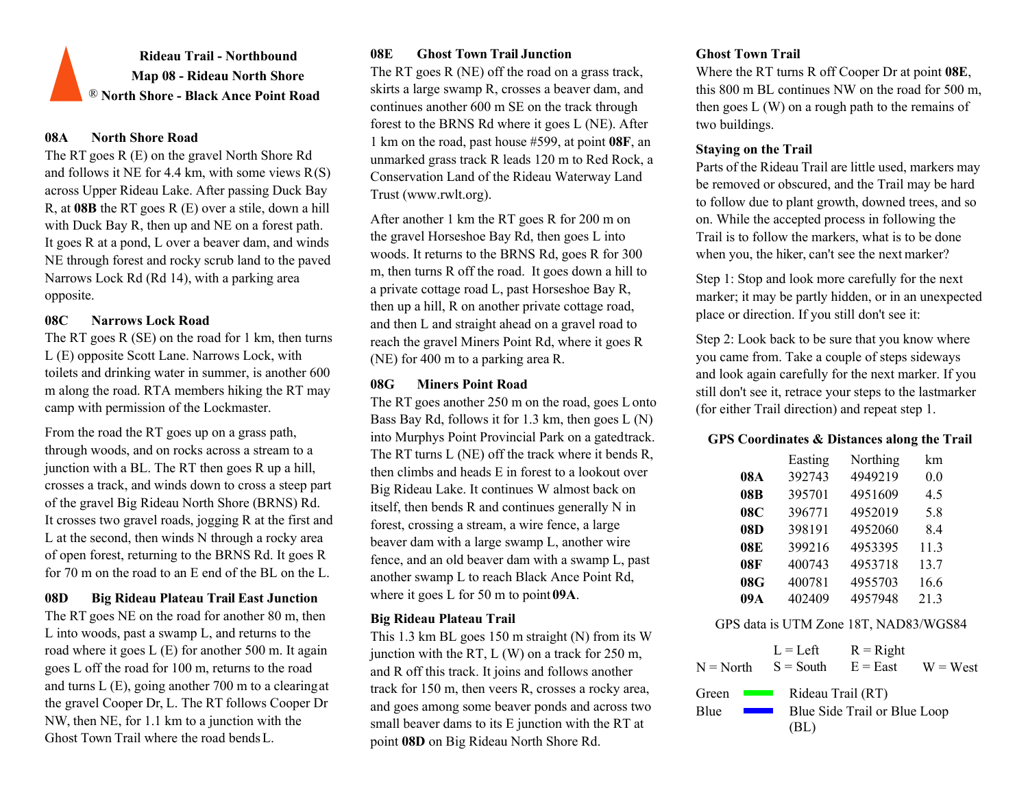**Rideau Trail - Northbound Map 08 - Rideau North Shore** ® **North Shore - Black Ance Point Road**

### **08A North Shore Road**

The RT goes R (E) on the gravel North Shore Rd and follows it NE for 4.4 km, with some views  $R(S)$ across Upper Rideau Lake. After passing Duck Bay R, at **08B** the RT goes R (E) over a stile, down a hill with Duck Bay R, then up and NE on a forest path. It goes R at a pond, L over a beaver dam, and winds NE through forest and rocky scrub land to the paved Narrows Lock Rd (Rd 14), with a parking area opposite.

## **08C Narrows Lock Road**

The RT goes R (SE) on the road for 1 km, then turns L (E) opposite Scott Lane. Narrows Lock, with toilets and drinking water in summer, is another 600 m along the road. RTA members hiking the RT may camp with permission of the Lockmaster.

From the road the RT goes up on a grass path, through woods, and on rocks across a stream to a junction with a BL. The RT then goes R up a hill, crosses a track, and winds down to cross a steep part of the gravel Big Rideau North Shore (BRNS) Rd. It crosses two gravel roads, jogging R at the first and L at the second, then winds N through a rocky area of open forest, returning to the BRNS Rd. It goes R for 70 m on the road to an E end of the BL on the L.

## **08D Big Rideau Plateau Trail East Junction**

The RT goes NE on the road for another 80 m, then L into woods, past a swamp L, and returns to the road where it goes L (E) for another 500 m. It again goes L off the road for 100 m, returns to the road and turns L (E), going another 700 m to a clearingat the gravel Cooper Dr, L. The RT follows Cooper Dr NW, then NE, for 1.1 km to a junction with the Ghost Town Trail where the road bends L.

## **08E Ghost Town Trail Junction Ghost Town Trail**

The RT goes R (NE) off the road on a grass track, skirts a large swamp R, crosses a beaver dam, and continues another 600 m SE on the track through forest to the BRNS Rd where it goes L (NE). After 1 km on the road, past house #599, at point **08F**, an unmarked grass track R leads 120 m to Red Rock, a Conservation Land of the Rideau Waterway Land Trust (www.rwlt.org).

After another 1 km the RT goes R for 200 m on the gravel Horseshoe Bay Rd, then goes L into woods. It returns to the BRNS Rd, goes R for 300 m, then turns R off the road. It goes down a hill to a private cottage road L, past Horseshoe Bay R, then up a hill, R on another private cottage road, and then L and straight ahead on a gravel road to reach the gravel Miners Point Rd, where it goes R (NE) for 400 m to a parking area R.

## **08G Miners Point Road**

The RT goes another 250 m on the road, goes Lonto Bass Bay Rd, follows it for 1.3 km, then goes L (N) into Murphys Point Provincial Park on a gatedtrack. The RT turns L (NE) off the track where it bends R, then climbs and heads E in forest to a lookout over Big Rideau Lake. It continues W almost back on itself, then bends R and continues generally N in forest, crossing a stream, a wire fence, a large beaver dam with a large swamp L, another wire fence, and an old beaver dam with a swamp L, past another swamp L to reach Black Ance Point Rd, where it goes L for 50 m to point **09A**.

## **Big Rideau Plateau Trail**

This 1.3 km BL goes 150 m straight (N) from its W junction with the RT,  $L(W)$  on a track for 250 m, and R off this track. It joins and follows another track for 150 m, then veers R, crosses a rocky area, and goes among some beaver ponds and across two small beaver dams to its E junction with the RT at point **08D** on Big Rideau North Shore Rd.

Where the RT turns R off Cooper Dr at point **08E**, this 800 m BL continues NW on the road for 500 m, then goes  $L(W)$  on a rough path to the remains of two buildings.

## **Staying on the Trail**

Parts of the Rideau Trail are little used, markers may be removed or obscured, and the Trail may be hard to follow due to plant growth, downed trees, and so on. While the accepted process in following the Trail is to follow the markers, what is to be done when you, the hiker, can't see the next marker?

Step 1: Stop and look more carefully for the next marker; it may be partly hidden, or in an unexpected place or direction. If you still don't see it:

Step 2: Look back to be sure that you know where you came from. Take a couple of steps sideways and look again carefully for the next marker. If you still don't see it, retrace your steps to the lastmarker (for either Trail direction) and repeat step 1.

## **GPS Coordinates & Distances along the Trail**

|            | Easting | Northing | km   |
|------------|---------|----------|------|
| 08A        | 392743  | 4949219  | 0.0  |
| 08B        | 395701  | 4951609  | 4.5  |
| 08C        | 396771  | 4952019  | 5.8  |
| 08D        | 398191  | 4952060  | 8.4  |
| <b>08E</b> | 399216  | 4953395  | 11.3 |
| 08F        | 400743  | 4953718  | 13.7 |
| 08G        | 400781  | 4955703  | 16.6 |
| 09A        | 402409  | 4957948  | 21.3 |

### GPS data is UTM Zone 18T, NAD83/WGS84

 $L = Let$  $S =$  South  $R =$ Right  $N = North$   $S = South$   $E = East$   $W = West$ Green Blue Rideau Trail (RT) Blue Side Trail or Blue Loop (BL)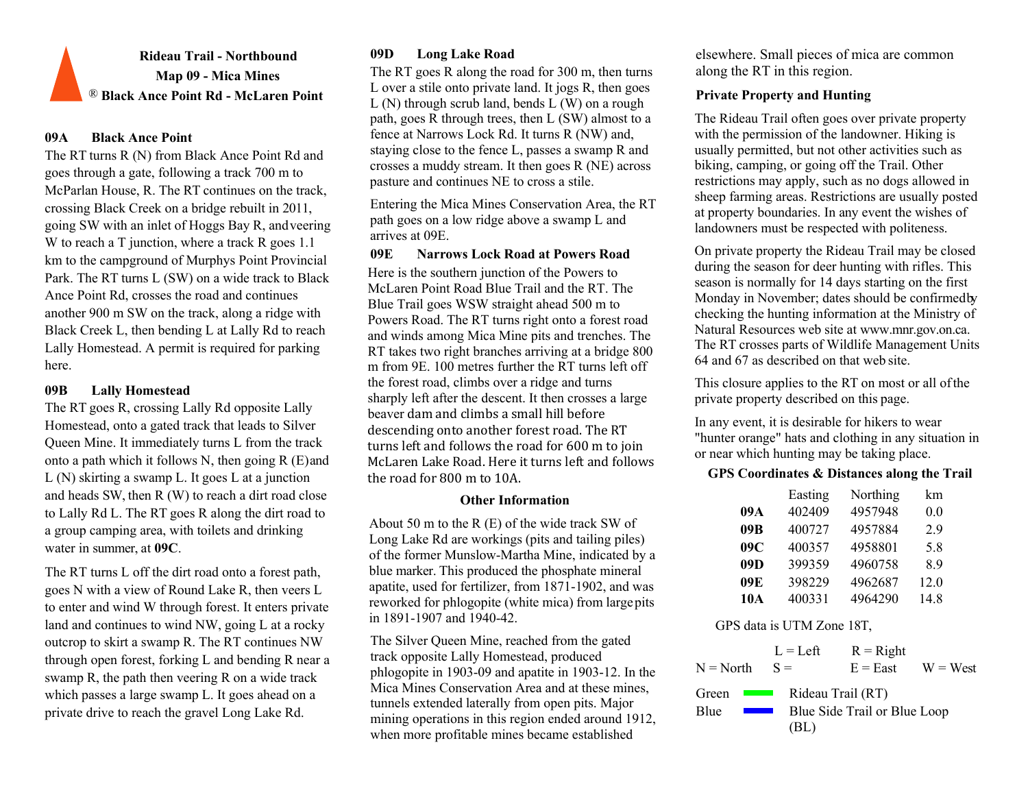# **Rideau Trail - Northbound Map 09 - Mica Mines** ® **Black Ance Point Rd - McLaren Point**

## **09A Black Ance Point**

The RT turns R (N) from Black Ance Point Rd and goes through a gate, following a track 700 m to McParlan House, R. The RT continues on the track, crossing Black Creek on a bridge rebuilt in 2011, going SW with an inlet of Hoggs Bay R, andveering W to reach a T junction, where a track R goes 1.1 km to the campground of Murphys Point Provincial Park. The RT turns L (SW) on a wide track to Black Ance Point Rd, crosses the road and continues another 900 m SW on the track, along a ridge with Black Creek L, then bending L at Lally Rd to reach Lally Homestead. A permit is required for parking here.

## **09B Lally Homestead**

The RT goes R, crossing Lally Rd opposite Lally Homestead, onto a gated track that leads to Silver Queen Mine. It immediately turns L from the track onto a path which it follows N, then going  $R(E)$  and L (N) skirting a swamp L. It goes L at a junction and heads SW, then R (W) to reach a dirt road close to Lally Rd L. The RT goes R along the dirt road to a group camping area, with toilets and drinking water in summer, at **09C**.

The RT turns L off the dirt road onto a forest path, goes N with a view of Round Lake R, then veers L to enter and wind W through forest. It enters private land and continues to wind NW, going L at a rocky outcrop to skirt a swamp R. The RT continues NW through open forest, forking L and bending R near a swamp R, the path then veering R on a wide track which passes a large swamp L. It goes ahead on a private drive to reach the gravel Long Lake Rd.

The RT goes R along the road for 300 m, then turns L over a stile onto private land. It jogs R, then goes  $L(N)$  through scrub land, bends  $L(W)$  on a rough path, goes R through trees, then L (SW) almost to a fence at Narrows Lock Rd. It turns R (NW) and, staying close to the fence L, passes a swamp R and crosses a muddy stream. It then goes R (NE) across pasture and continues NE to cross a stile.

Entering the Mica Mines Conservation Area, the RT path goes on a low ridge above a swamp L and arrives at 09E.

### **09E Narrows Lock Road at Powers Road**

Here is the southern junction of the Powers to McLaren Point Road Blue Trail and the RT. The Blue Trail goes WSW straight ahead 500 m to Powers Road. The RT turns right onto a forest road and winds among Mica Mine pits and trenches. The RT takes two right branches arriving at a bridge 800 m from 9E. 100 metres further the RT turns left off the forest road, climbs over a ridge and turns sharply left after the descent. It then crosses a large beaver dam and climbs a small hill before descending onto another forest road. The RT turns left and follows the road for 600 m to join McLaren Lake Road. Here it turns left and follows the road for 800 m to 10A.

### **Other Information**

About 50 m to the R (E) of the wide track SW of Long Lake Rd are workings (pits and tailing piles) of the former Munslow-Martha Mine, indicated by a blue marker. This produced the phosphate mineral apatite, used for fertilizer, from 1871-1902, and was reworked for phlogopite (white mica) from largepits in 1891-1907 and 1940-42.

The Silver Queen Mine, reached from the gated track opposite Lally Homestead, produced phlogopite in 1903-09 and apatite in 1903-12. In the Mica Mines Conservation Area and at these mines, tunnels extended laterally from open pits. Major mining operations in this region ended around 1912, when more profitable mines became established

**09D Long Lake Road** elsewhere. Small pieces of mica are common along the RT in this region.

## **Private Property and Hunting**

The Rideau Trail often goes over private property with the permission of the landowner. Hiking is usually permitted, but not other activities such as biking, camping, or going off the Trail. Other restrictions may apply, such as no dogs allowed in sheep farming areas. Restrictions are usually posted at property boundaries. In any event the wishes of landowners must be respected with politeness.

On private property the Rideau Trail may be closed during the season for deer hunting with rifles. This season is normally for 14 days starting on the first Monday in November; dates should be confirmedby checking the hunting information at the Ministry of Natural Resources web site [at www.mnr.gov.on.ca.](http://www.mnr.gov.on.ca/) The RT crosses parts of Wildlife Management Units 64 and 67 as described on that web site.

This closure applies to the RT on most or all ofthe private property described on this page.

In any event, it is desirable for hikers to wear "hunter orange" hats and clothing in any situation in or near which hunting may be taking place.

## **GPS Coordinates & Distances along the Trail**

|     | Easting | Northing | km   |
|-----|---------|----------|------|
| 09A | 402409  | 4957948  | 0.0  |
| 09B | 400727  | 4957884  | 2.9  |
| 09C | 400357  | 4958801  | 5.8  |
| 09D | 399359  | 4960758  | 8.9  |
| 09E | 398229  | 4962687  | 12.0 |
| 10A | 400331  | 4964290  | 14.8 |

## GPS data is UTM Zone 18T,

 $L = L$ eft  $S =$  $R =$ Right  $N = North$   $S =$   $E = East$   $W = West$ Green **Theory** Blue Rideau Trail (RT) Blue Side Trail or Blue Loop (BL)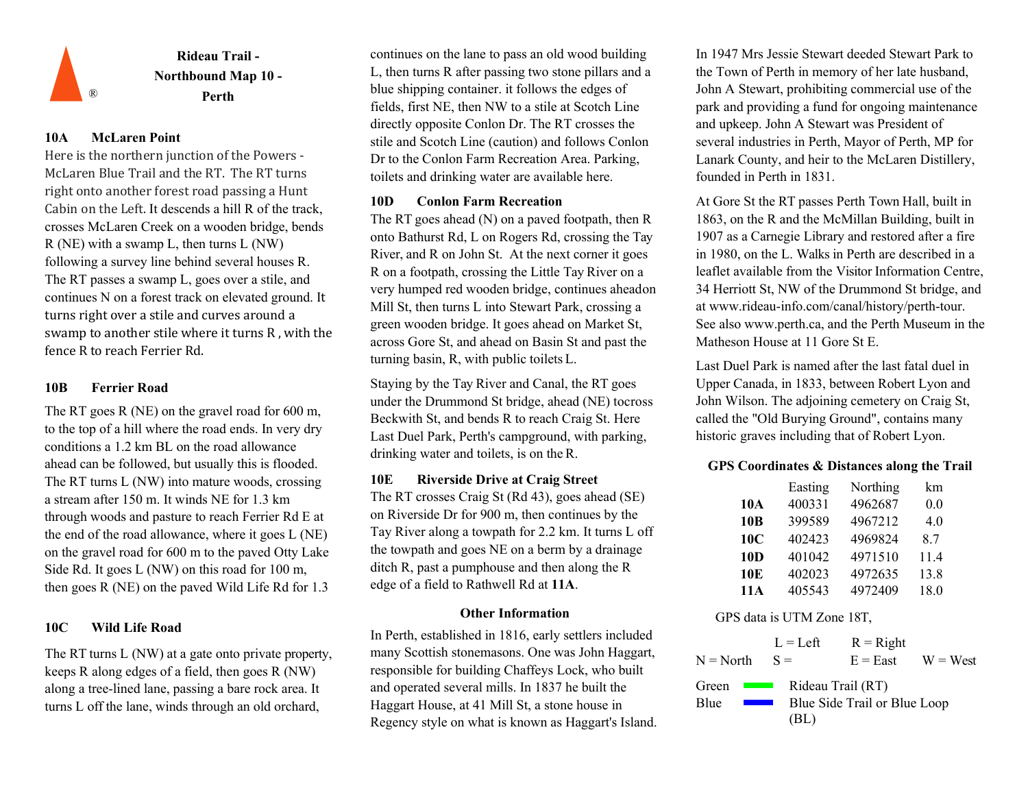![](_page_9_Picture_0.jpeg)

## **10A McLaren Point**

Here is the northern junction of the Powers - McLaren Blue Trail and the RT. The RT turns right onto another forest road passing a Hunt Cabin on the Left. It descends a hill R of the track, crosses McLaren Creek on a wooden bridge, bends R (NE) with a swamp L, then turns L (NW) following a survey line behind several houses R. The RT passes a swamp L, goes over a stile, and continues N on a forest track on elevated ground. It turns right over a stile and curves around a swamp to another stile where it turns R , with the fence R to reach Ferrier Rd.

## **10B Ferrier Road**

The RT goes R (NE) on the gravel road for 600 m, to the top of a hill where the road ends. In very dry conditions a 1.2 km BL on the road allowance ahead can be followed, but usually this is flooded. The RT turns L (NW) into mature woods, crossing a stream after 150 m. It winds NE for 1.3 km through woods and pasture to reach Ferrier Rd E at the end of the road allowance, where it goes L (NE) on the gravel road for 600 m to the paved Otty Lake Side Rd. It goes L (NW) on this road for 100 m, then goes R (NE) on the paved Wild Life Rd for 1.3

### **10C Wild Life Road**

The RT turns L (NW) at a gate onto private property, keeps R along edges of a field, then goes R (NW) along a tree-lined lane, passing a bare rock area. It turns L off the lane, winds through an old orchard,

continues on the lane to pass an old wood building L, then turns R after passing two stone pillars and a blue shipping container. it follows the edges of fields, first NE, then NW to a stile at Scotch Line directly opposite Conlon Dr. The RT crosses the stile and Scotch Line (caution) and follows Conlon Dr to the Conlon Farm Recreation Area. Parking, toilets and drinking water are available here.

## **10D Conlon Farm Recreation**

The RT goes ahead (N) on a paved footpath, then R onto Bathurst Rd, L on Rogers Rd, crossing the Tay River, and R on John St. At the next corner it goes R on a footpath, crossing the Little Tay River on a very humped red wooden bridge, continues aheadon Mill St, then turns L into Stewart Park, crossing a green wooden bridge. It goes ahead on Market St, across Gore St, and ahead on Basin St and past the turning basin, R, with public toilets L.

Staying by the Tay River and Canal, the RT goes under the Drummond St bridge, ahead (NE) tocross Beckwith St, and bends R to reach Craig St. Here Last Duel Park, Perth's campground, with parking, drinking water and toilets, is on the R.

### **10E** Riverside Drive at Craig Street

The RT crosses Craig St (Rd 43), goes ahead (SE) on Riverside Dr for 900 m, then continues by the Tay River along a towpath for 2.2 km. It turns L off the towpath and goes NE on a berm by a drainage ditch R, past a pumphouse and then along the R edge of a field to Rathwell Rd at **11A**.

### **Other Information**

In Perth, established in 1816, early settlers included many Scottish stonemasons. One was John Haggart, responsible for building Chaffeys Lock, who built and operated several mills. In 1837 he built the Haggart House, at 41 Mill St, a stone house in Regency style on what is known as Haggart's Island.

In 1947 Mrs Jessie Stewart deeded Stewart Park to the Town of Perth in memory of her late husband, John A Stewart, prohibiting commercial use of the park and providing a fund for ongoing maintenance and upkeep. John A Stewart was President of several industries in Perth, Mayor of Perth, MP for Lanark County, and heir to the McLaren Distillery, founded in Perth in 1831.

At Gore St the RT passes Perth Town Hall, built in 1863, on the R and the McMillan Building, built in 1907 as a Carnegie Library and restored after a fire in 1980, on the L. Walks in Perth are described in a leaflet available from the Visitor Information Centre, 34 Herriott St, NW of the Drummond St bridge, and at [www.rideau-info.com/canal/history/perth-tour.](http://www.rideau-info.com/canal/history/perth-tour) See al[so www.perth.ca, a](http://www.perth.ca/)nd the Perth Museum in the Matheson House at 11 Gore St E.

Last Duel Park is named after the last fatal duel in Upper Canada, in 1833, between Robert Lyon and John Wilson. The adjoining cemetery on Craig St, called the "Old Burying Ground", contains many historic graves including that of Robert Lyon.

## **GPS Coordinates & Distances along the Trail**

|                 | Easting | Northing | km   |
|-----------------|---------|----------|------|
| 10A             | 400331  | 4962687  | 0.0  |
| 10B             | 399589  | 4967212  | 4.0  |
| 10 <sub>C</sub> | 402423  | 4969824  | 8.7  |
| 10 <sub>D</sub> | 401042  | 4971510  | 11.4 |
| 10E             | 402023  | 4972635  | 13.8 |
| 11A             | 405543  | 4972409  | 18.0 |

|                                                                       | $L = Left$ | $R = Right$                                       |            |
|-----------------------------------------------------------------------|------------|---------------------------------------------------|------------|
| $N = North$                                                           | $S =$      | $E = East$                                        | $W = West$ |
| Green<br><b>Contract Contract</b><br>Blue<br><b>Contract Contract</b> | (BL)       | Rideau Trail (RT)<br>Blue Side Trail or Blue Loop |            |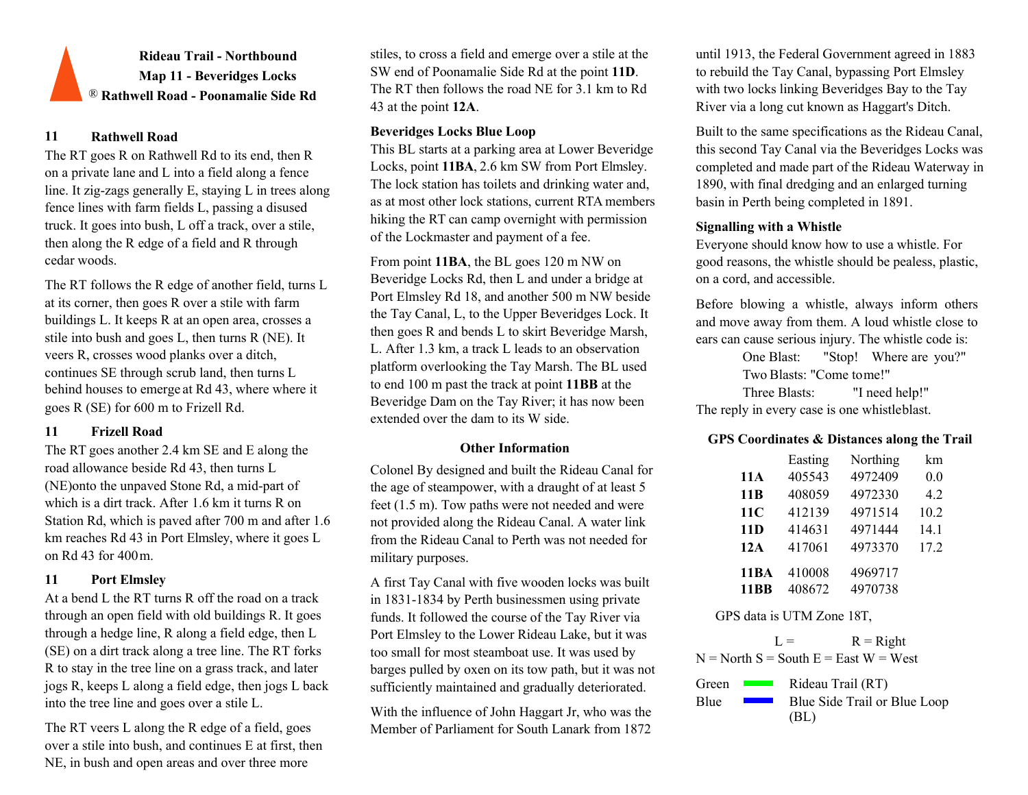**Rideau Trail - Northbound Map 11 - Beveridges Locks** ® **Rathwell Road - Poonamalie Side Rd**

## **11 Rathwell Road**

The RT goes R on Rathwell Rd to its end, then R on a private lane and L into a field along a fence line. It zig-zags generally E, staying L in trees along fence lines with farm fields L, passing a disused truck. It goes into bush, L off a track, over a stile, then along the R edge of a field and R through cedar woods.

The RT follows the R edge of another field, turns L at its corner, then goes R over a stile with farm buildings L. It keeps R at an open area, crosses a stile into bush and goes L, then turns R (NE). It veers R, crosses wood planks over a ditch, continues SE through scrub land, then turns L behind houses to emerge at Rd 43, where where it goes R (SE) for 600 m to Frizell Rd.

## **11 Frizell Road**

The RT goes another 2.4 km SE and E along the road allowance beside Rd 43, then turns L (NE)onto the unpaved Stone Rd, a mid-part of which is a dirt track. After 1.6 km it turns R on Station Rd, which is paved after 700 m and after 1.6 km reaches Rd 43 in Port Elmsley, where it goes L on Rd 43 for 400 m.

## **11 Port Elmsley**

At a bend L the RT turns R off the road on a track through an open field with old buildings R. It goes through a hedge line, R along a field edge, then L (SE) on a dirt track along a tree line. The RT forks R to stay in the tree line on a grass track, and later jogs R, keeps L along a field edge, then jogs L back into the tree line and goes over a stile L.

The RT veers L along the R edge of a field, goes over a stile into bush, and continues E at first, then NE, in bush and open areas and over three more

stiles, to cross a field and emerge over a stile at the SW end of Poonamalie Side Rd at the point **11D**. The RT then follows the road NE for 3.1 km to Rd 43 at the point **12A**.

## **Beveridges Locks Blue Loop**

This BL starts at a parking area at Lower Beveridge Locks, point **11BA**, 2.6 km SW from Port Elmsley. The lock station has toilets and drinking water and, as at most other lock stations, current RTA members hiking the RT can camp overnight with permission of the Lockmaster and payment of a fee.

From point **11BA**, the BL goes 120 m NW on Beveridge Locks Rd, then L and under a bridge at Port Elmsley Rd 18, and another 500 m NW beside the Tay Canal, L, to the Upper Beveridges Lock. It then goes R and bends L to skirt Beveridge Marsh, L. After 1.3 km, a track L leads to an observation platform overlooking the Tay Marsh. The BL used to end 100 m past the track at point **11BB** at the Beveridge Dam on the Tay River; it has now been extended over the dam to its W side.

Colonel By designed and built the Rideau Canal for the age of steampower, with a draught of at least 5 feet (1.5 m). Tow paths were not needed and were not provided along the Rideau Canal. A water link from the Rideau Canal to Perth was not needed for military purposes.

A first Tay Canal with five wooden locks was built in 1831-1834 by Perth businessmen using private funds. It followed the course of the Tay River via Port Elmsley to the Lower Rideau Lake, but it was too small for most steamboat use. It was used by barges pulled by oxen on its tow path, but it was not sufficiently maintained and gradually deteriorated.

With the influence of John Haggart Jr, who was the Member of Parliament for South Lanark from 1872

until 1913, the Federal Government agreed in 1883 to rebuild the Tay Canal, bypassing Port Elmsley with two locks linking Beveridges Bay to the Tay River via a long cut known as Haggart's Ditch.

Built to the same specifications as the Rideau Canal, this second Tay Canal via the Beveridges Locks was completed and made part of the Rideau Waterway in 1890, with final dredging and an enlarged turning basin in Perth being completed in 1891.

## **Signalling with a Whistle**

Everyone should know how to use a whistle. For good reasons, the whistle should be pealess, plastic, on a cord, and accessible.

Before blowing a whistle, always inform others and move away from them. A loud whistle close to ears can cause serious injury. The whistle code is:

One Blast: "Stop! Where are you?" Two Blasts: "Come tome!" Three Blasts: "I need help!" The reply in every case is one whistleblast.

# **GPS Coordinates & Distances along the Trail Other Information**

|                            | Easting          | Northing           | km   |
|----------------------------|------------------|--------------------|------|
| 11A                        | 405543           | 4972409            | 0.0  |
| 11 <sub>B</sub>            | 408059           | 4972330            | 4.2  |
| 11C                        | 412139           | 4971514            | 10.2 |
| 11D                        | 414631           | 4971444            | 14.1 |
| 12A                        | 417061           | 4973370            | 17.2 |
| <b>11BA</b><br><b>11BB</b> | 410008<br>408672 | 4969717<br>4970738 |      |
|                            |                  |                    |      |

GPS data is UTM Zone 18T,

 $L = R$  = Right  $N = North S = South E = East W = West$ 

Green Blue Rideau Trail (RT) Blue Side Trail or Blue Loop (BL)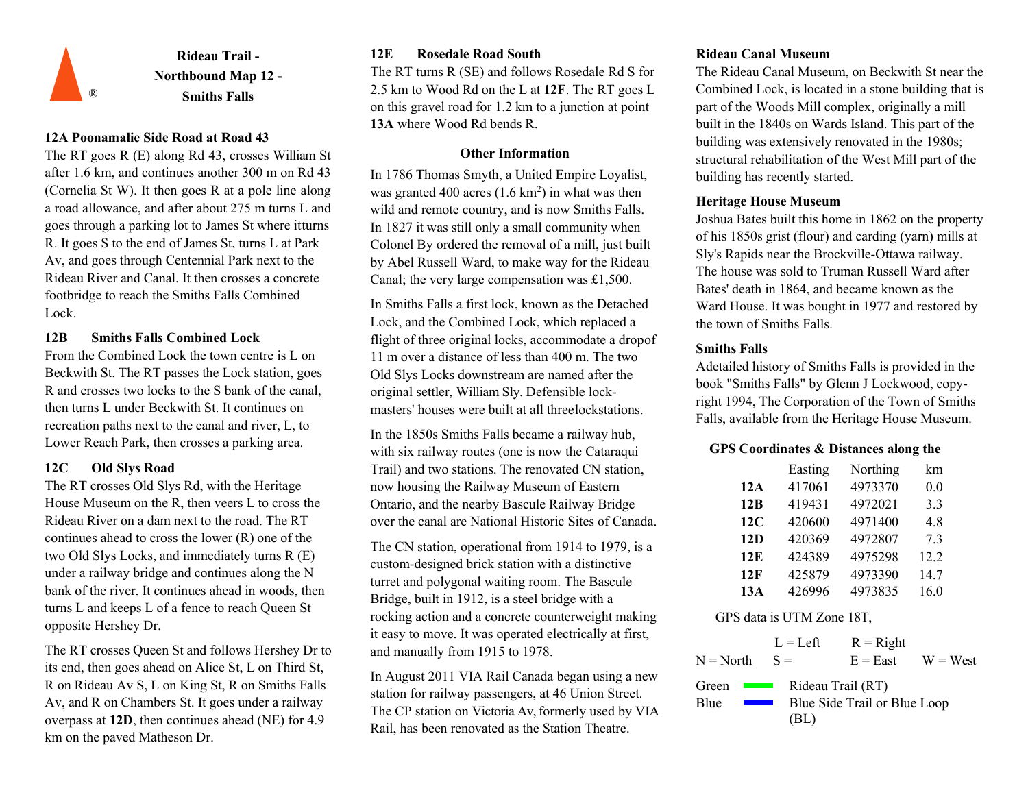![](_page_11_Picture_0.jpeg)

### **12A Poonamalie Side Road at Road 43**

The RT goes R (E) along Rd 43, crosses William St after 1.6 km, and continues another 300 m on Rd 43 (Cornelia St W). It then goes R at a pole line along a road allowance, and after about 275 m turns L and goes through a parking lot to James St where it turns R. It goes S to the end of James St, turns L at Park Av, and goes through Centennial Park next to the Rideau River and Canal. It then crosses a concrete footbridge to reach the Smiths Falls Combined Lock.

## **12B Smiths Falls Combined Lock**

From the Combined Lock the town centre is L on Beckwith St. The RT passes the Lock station, goes R and crosses two locks to the S bank of the canal, then turns L under Beckwith St. It continues on recreation paths next to the canal and river, L, to

The RT crosses Old Slys Rd, with the Heritage House Museum on the R, then veers L to cross the Rideau River on a dam next to the road. The RT continues ahead to cross the lower (R) one of the two Old Slys Locks, and immediately turns R (E) under a railway bridge and continues along the N bank of the river. It continues ahead in woods, then turns L and keeps L of a fence to reach Queen St opposite Hershey Dr.

The RT crosses Queen St and follows Hershey Dr to its end, then goes ahead on Alice St, L on Third St, R on Rideau Av S, L on King St, R on Smiths Falls Av, and R on Chambers St. It goes under a railway overpass at **12D**, then continues ahead (NE) for 4.9 km on the paved Matheson Dr.

## **12E Rosedale Road South Rideau Canal Museum**

The RT turns R (SE) and follows Rosedale Rd S for 2.5 km to Wood Rd on the L at **12F**. The RT goes L on this gravel road for 1.2 km to a junction at point **13A** where Wood Rd bends R.

### **Other Information**

In 1786 Thomas Smyth, a United Empire Loyalist, was granted 400 acres  $(1.6 \text{ km}^2)$  in what was then wild and remote country, and is now Smiths Falls. In 1827 it was still only a small community when Colonel By ordered the removal of a mill, just built by Abel Russell Ward, to make way for the Rideau Canal; the very large compensation was £1,500.

In Smiths Falls a first lock, known as the Detached Lock, and the Combined Lock, which replaced a flight of three original locks, accommodate a drop of 11 m over a distance of less than 400 m. The two Old Slys Locks downstream are named after the original settler, William Sly. Defensible lockmasters' houses were built at all threelockstations.

In the 1850s Smiths Falls became a railway hub, Lower Reach Park, then crosses a parking area.<br>
with six railway routes (one is now the Cataraqui **GPS Coordinates & Distances along the 12C Old Slys Road 12C Easting** Easting **CO Easting Easting Easting Easting** now housing the Railway Museum of Eastern Ontario, and the nearby Bascule Railway Bridge over the canal are National Historic Sites of Canada.

> The CN station, operational from 1914 to 1979, is a custom-designed brick station with a distinctive turret and polygonal waiting room. The Bascule Bridge, built in 1912, is a steel bridge with a rocking action and a concrete counterweight making it easy to move. It was operated electrically at first, and manually from 1915 to 1978.

In August 2011 VIA Rail Canada began using a new station for railway passengers, at 46 Union Street. The CP station on Victoria Av, formerly used by VIA Rail, has been renovated as the Station Theatre.

The Rideau Canal Museum, on Beckwith St near the Combined Lock, is located in a stone building that is part of the Woods Mill complex, originally a mill built in the 1840s on Wards Island. This part of the building was extensively renovated in the 1980s; structural rehabilitation of the West Mill part of the building has recently started.

## **Heritage House Museum**

Joshua Bates built this home in 1862 on the property of his 1850s grist (flour) and carding (yarn) mills at Sly's Rapids near the Brockville-Ottawa railway. The house was sold to Truman Russell Ward after Bates' death in 1864, and became known as the Ward House. It was bought in 1977 and restored by the town of Smiths Falls.

### **Smiths Falls**

Adetailed history of Smiths Falls is provided in the book "Smiths Falls" by Glenn J Lockwood, copyright 1994, The Corporation of the Town of Smiths Falls, available from the Heritage House Museum.

|     | Easting | Northing | km   |
|-----|---------|----------|------|
| 12A | 417061  | 4973370  | 0.0  |
| 12B | 419431  | 4972021  | 3.3  |
| 12C | 420600  | 4971400  | 4.8  |
| 12D | 420369  | 4972807  | 7.3  |
| 12E | 424389  | 4975298  | 12.2 |
| 12F | 425879  | 4973390  | 14.7 |
| 13A | 426996  | 4973835  | 16.0 |

|                                   | $L = Left$ | $R =$ Right                  |            |
|-----------------------------------|------------|------------------------------|------------|
| $N = North$                       | $S =$      | $E = East$                   | $W = West$ |
| Green<br><b>Contract Contract</b> |            | Rideau Trail (RT)            |            |
| Blue                              |            | Blue Side Trail or Blue Loop |            |
|                                   | (BL)       |                              |            |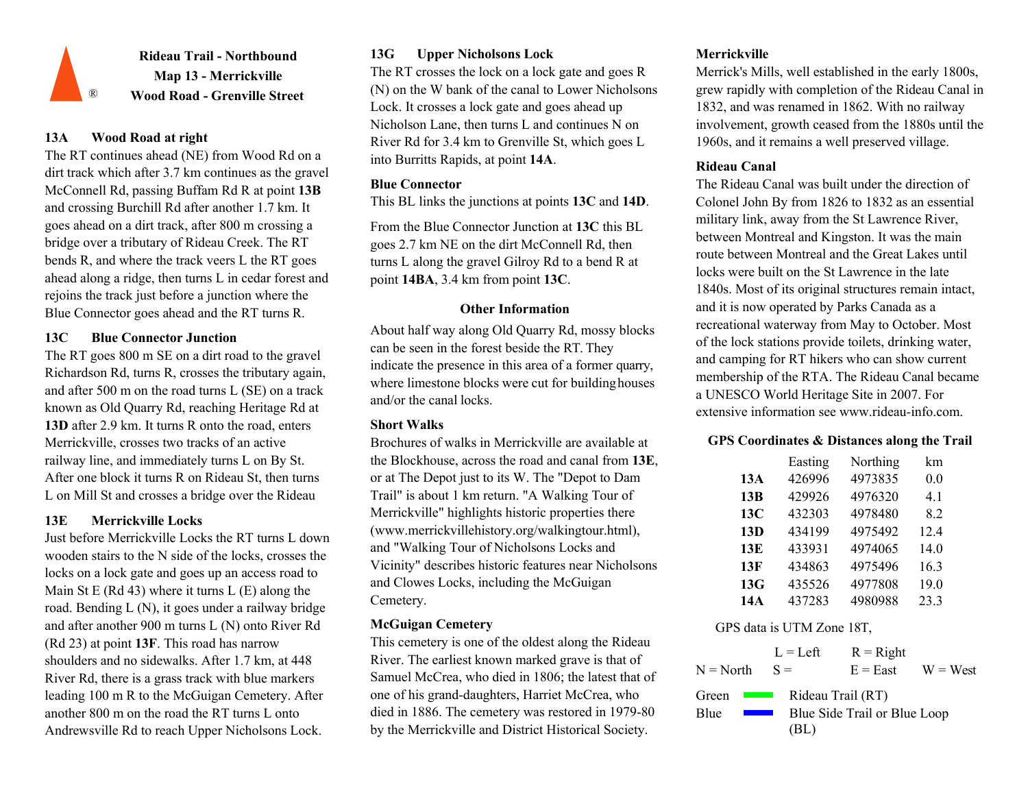![](_page_12_Picture_0.jpeg)

## **13A Wood Road at right**

The RT continues ahead (NE) from Wood Rd on a dirt track which after 3.7 km continues as the gravel McConnell Rd, passing Buffam Rd R at point **13B**  and crossing Burchill Rd after another 1.7 km. It goes ahead on a dirt track, after 800 m crossing a bridge over a tributary of Rideau Creek. The RT bends R, and where the track veers L the RT goes ahead along a ridge, then turns L in cedar forest and rejoins the track just before a junction where the Blue Connector goes ahead and the RT turns R. **Other Information**

## **13C Blue Connector Junction**

The RT goes 800 m SE on a dirt road to the gravel Richardson Rd, turns R, crosses the tributary again, and after 500 m on the road turns L (SE) on a track known as Old Quarry Rd, reaching Heritage Rd at **13D** after 2.9 km. It turns R onto the road, enters Merrickville, crosses two tracks of an active railway line, and immediately turns L on By St. After one block it turns R on Rideau St, then turns L on Mill St and crosses a bridge over the Rideau

## **13E Merrickville Locks**

Just before Merrickville Locks the RT turns L down wooden stairs to the N side of the locks, crosses the locks on a lock gate and goes up an access road to Main St E (Rd 43) where it turns  $L(E)$  along the road. Bending L (N), it goes under a railway bridge and after another 900 m turns L (N) onto River Rd (Rd 23) at point **13F**. This road has narrow shoulders and no sidewalks. After 1.7 km, at 448 River Rd, there is a grass track with blue markers leading 100 m R to the McGuigan Cemetery. After another 800 m on the road the RT turns L onto Andrewsville Rd to reach Upper Nicholsons Lock.

## **13G Upper Nicholsons Lock Merrickville**

The RT crosses the lock on a lock gate and goes R (N) on the W bank of the canal to Lower Nicholsons Lock. It crosses a lock gate and goes ahead up Nicholson Lane, then turns L and continues N on River Rd for 3.4 km to Grenville St, which goes L into Burritts Rapids, at point **14A**.

## **Blue Connector**

This BL links the junctions at points **13C** and **14D**.

From the Blue Connector Junction at **13C** this BL goes 2.7 km NE on the dirt McConnell Rd, then turns L along the gravel Gilroy Rd to a bend R at point **14BA**, 3.4 km from point **13C**.

About half way along Old Quarry Rd, mossy blocks can be seen in the forest beside the RT. They indicate the presence in this area of a former quarry, where limestone blocks were cut for building houses and/or the canal locks.

## **Short Walks**

Brochures of walks in Merrickville are available at the Blockhouse, across the road and canal from **13E**, or at The Depot just to its W. The "Depot to Dam Trail" is about 1 km return. "A Walking Tour of Merrickville" highlights historic properties ther[e](http://www.merrickvillehistory.org/walkingtour.html)) [\(www.merrickvillehistory.org/walkingtour.html\),](http://www.merrickvillehistory.org/walkingtour.html)) and "Walking Tour of Nicholsons Locks and Vicinity" describes historic features near Nicholsons and Clowes Locks, including the McGuigan Cemetery.

## **McGuigan Cemetery**

This cemetery is one of the oldest along the Rideau River. The earliest known marked grave is that of Samuel McCrea, who died in 1806; the latest that of one of his grand-daughters, Harriet McCrea, who died in 1886. The cemetery was restored in 1979-80 by the Merrickville and District Historical Society.

Merrick's Mills, well established in the early 1800s, grew rapidly with completion of the Rideau Canal in 1832, and was renamed in 1862. With no railway involvement, growth ceased from the 1880s until the 1960s, and it remains a well preserved village.

### **Rideau Canal**

The Rideau Canal was built under the direction of Colonel John By from 1826 to 1832 as an essential military link, away from the St Lawrence River, between Montreal and Kingston. It was the main route between Montreal and the Great Lakes until locks were built on the St Lawrence in the late 1840s. Most of its original structures remain intact, and it is now operated by Parks Canada as a recreational waterway from May to October. Most of the lock stations provide toilets, drinking water, and camping for RT hikers who can show current membership of the RTA. The Rideau Canal became a UNESCO World Heritage Site in 2007. For extensive information se[e www.rideau-info.com.](http://www.rideau-info.com/)

### **GPS Coordinates & Distances along the Trail**

|     | Easting | Northing | km   |
|-----|---------|----------|------|
| 13A | 426996  | 4973835  | 0.0  |
| 13B | 429926  | 4976320  | 4.1  |
| 13C | 432303  | 4978480  | 8.2  |
| 13D | 434199  | 4975492  | 12.4 |
| 13E | 433931  | 4974065  | 14.0 |
| 13F | 434863  | 4975496  | 16.3 |
| 13G | 435526  | 4977808  | 19.0 |
| 14A | 437283  | 4980988  | 23.3 |

## GPS data is UTM Zone 18T,

 $L = L$ eft  $S =$  $R =$ Right  $N = North$   $S =$   $E = East$   $W = West$ Green **Exercise Blue** Rideau Trail (RT) Blue Side Trail or Blue Loop (BL)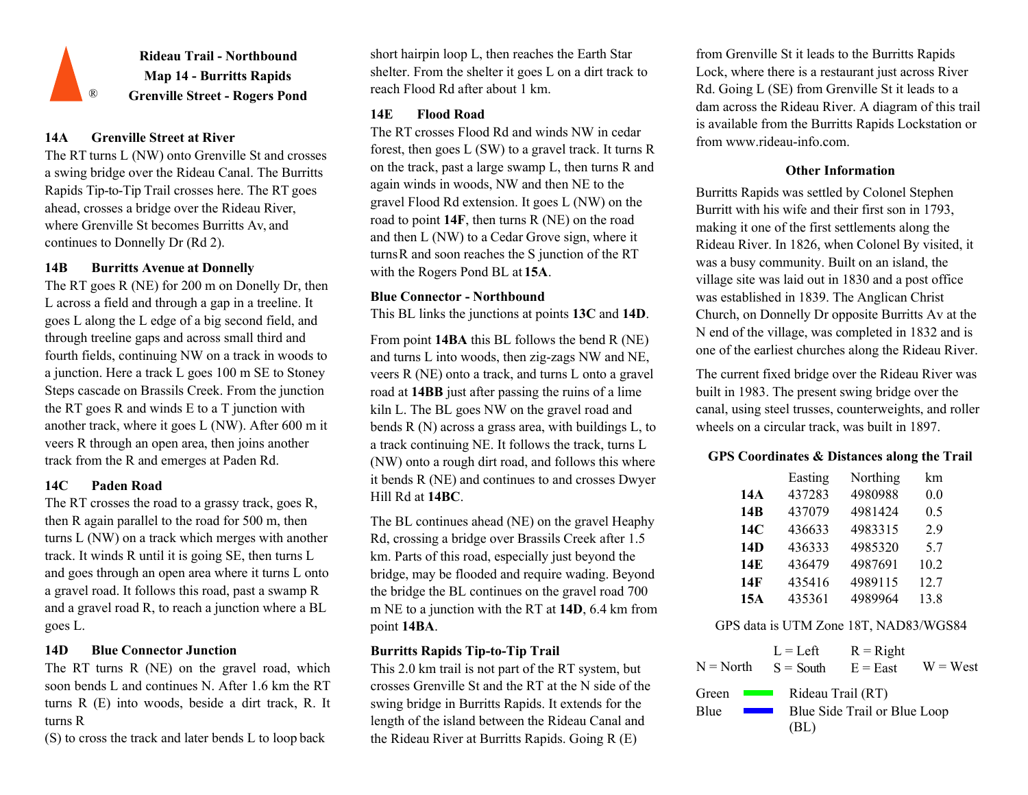![](_page_13_Picture_0.jpeg)

## **14A Grenville Street at River**

The RT turns L (NW) onto Grenville St and crosses a swing bridge over the Rideau Canal. The Burritts Rapids Tip-to-Tip Trail crosses here. The RT goes ahead, crosses a bridge over the Rideau River, where Grenville St becomes Burritts Av, and continues to Donnelly Dr (Rd 2).

## **14B Burritts Avenue at Donnelly**

The RT goes R (NE) for 200 m on Donelly Dr, then L across a field and through a gap in a treeline. It goes L along the L edge of a big second field, and through treeline gaps and across small third and fourth fields, continuing NW on a track in woods to a junction. Here a track L goes 100 m SE to Stoney Steps cascade on Brassils Creek. From the junction the RT goes R and winds E to a T junction with another track, where it goes L (NW). After 600 m it veers R through an open area, then joins another

then R again parallel to the road for 500 m, then turns L (NW) on a track which merges with another track. It winds R until it is going SE, then turns L and goes through an open area where it turns L onto a gravel road. It follows this road, past a swamp R and a gravel road R, to reach a junction where a BL

### **Burritts Rapids Tip-to-Tip Trail 14D Blue Connector Junction** L = Left

soon bends L and continues N. After 1.6 km the RT turns R (E) into woods, beside a dirt track, R. It turns R

(S) to cross the track and later bends L to loop back

short hairpin loop L, then reaches the Earth Star shelter. From the shelter it goes L on a dirt track to reach Flood Rd after about 1 km.

## **14E Flood Road**

The RT crosses Flood Rd and winds NW in cedar forest, then goes L (SW) to a gravel track. It turns R on the track, past a large swamp L, then turns R and again winds in woods, NW and then NE to the gravel Flood Rd extension. It goes L (NW) on the road to point **14F**, then turns R (NE) on the road and then L (NW) to a Cedar Grove sign, where it turns R and soon reaches the S junction of the RT with the Rogers Pond BL at **15A**.

## **Blue Connector - Northbound**

This BL links the junctions at points **13C** and **14D**.

From point **14BA** this BL follows the bend R (NE) and turns L into woods, then zig-zags NW and NE, veers R (NE) onto a track, and turns L onto a gravel road at **14BB** just after passing the ruins of a lime kiln L. The BL goes NW on the gravel road and bends R (N) across a grass area, with buildings L, to a track continuing NE. It follows the track, turns L track from the R and emerges at Paden Rd. **GPS Coordinates & Distances along the Trail** track from the R and emerges at Paden Rd. **GPS** Coordinates **& Distances along the Trail** it bends R (NE) and continues to and crosses Dwyer Hill Rd at **14BC**. **14C Paden Road 14C Paden Road 14A**<br>The RT crosses the road to a grassy track, goes R, Hill Rd at 14BC.

The BL continues ahead (NE) on the gravel Heaphy Rd, crossing a bridge over Brassils Creek after 1.5 km. Parts of this road, especially just beyond the bridge, may be flooded and require wading. Beyond the bridge the BL continues on the gravel road 700 m NE to a junction with the RT at **14D**, 6.4 km from point **14BA**. goes L. Communication of the solution of the solution of the solution of the GPS data is UTM Zone 18T, NAD83/WGS84

This 2.0 km trail is not part of the RT system, but crosses Grenville St and the RT at the N side of the swing bridge in Burritts Rapids. It extends for the length of the island between the Rideau Canal and the Rideau River at Burritts Rapids. Going R (E)

from Grenville St it leads to the Burritts Rapids Lock, where there is a restaurant just across River Rd. Going L (SE) from Grenville St it leads to a dam across the Rideau River. A diagram of this trail is available from the Burritts Rapids Lockstation or f[rom www.rideau-info.com.](http://www.rideau-info.com/)

## **Other Information**

Burritts Rapids was settled by Colonel Stephen Burritt with his wife and their first son in 1793, making it one of the first settlements along the Rideau River. In 1826, when Colonel By visited, it was a busy community. Built on an island, the village site was laid out in 1830 and a post office was established in 1839. The Anglican Christ Church, on Donnelly Dr opposite Burritts Av at the N end of the village, was completed in 1832 and is one of the earliest churches along the Rideau River.

The current fixed bridge over the Rideau River was built in 1983. The present swing bridge over the canal, using steel trusses, counterweights, and roller wheels on a circular track, was built in 1897.

|     | Easting | Northing | km   |
|-----|---------|----------|------|
| 14A | 437283  | 4980988  | 0.0  |
| 14B | 437079  | 4981424  | 0.5  |
| 14C | 436633  | 4983315  | 2.9  |
| 14D | 436333  | 4985320  | 5.7  |
| 14E | 436479  | 4987691  | 10.2 |
| 14F | 435416  | 4989115  | 12.7 |
| 15A | 435361  | 4989964  | 13.8 |

 $S =$  South  $R =$ Right The RT turns R (NE) on the gravel road, which This 2.0 km trail is not part of the RT system, but  $N = North$   $S = South$   $E = East$   $W = West$ Green **Exercise** Blue Rideau Trail (RT) Blue Side Trail or Blue Loop (BL)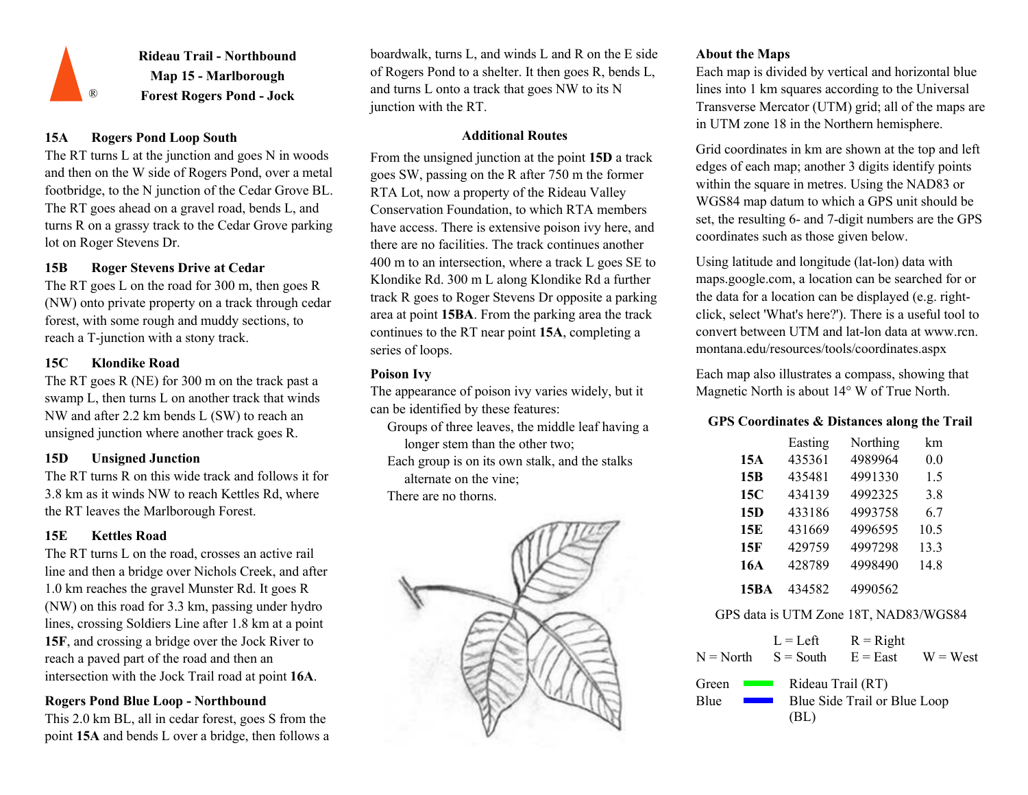![](_page_14_Picture_0.jpeg)

**Rideau Trail - Northbound Map 15 - Marlborough**  ® **Forest Rogers Pond - Jock** 

## **15A Rogers Pond Loop South**

The RT turns L at the junction and goes N in woods and then on the W side of Rogers Pond, over a metal footbridge, to the N junction of the Cedar Grove BL. The RT goes ahead on a gravel road, bends L, and turns R on a grassy track to the Cedar Grove parking lot on Roger Stevens Dr.

## **15B Roger Stevens Drive at Cedar**

The RT goes L on the road for 300 m, then goes R (NW) onto private property on a track through cedar forest, with some rough and muddy sections, to reach a T-junction with a stony track.

## **15C Klondike Road**

The RT goes R (NE) for 300 m on the track past a swamp L, then turns L on another track that winds NW and after 2.2 km bends L (SW) to reach an NW and after 2.2 km bends L (SW) to reach an **GPS** Coordinates **COORDINATES** Coordinates **& Distances along the Trail**<br>unsigned junction where another track goes R. Groups of three leaves, the middle leaf having a

The RT turns R on this wide track and follows it for 3.8 km as it winds NW to reach Kettles Rd, where the RT leaves the Marlborough Forest.

## **15E Kettles Road**

The RT turns L on the road, crosses an active rail line and then a bridge over Nichols Creek, and after 1.0 km reaches the gravel Munster Rd. It goes R (NW) on this road for 3.3 km, passing under hydro lines, crossing Soldiers Line after 1.8 km at a point **15F**, and crossing a bridge over the Jock River to reach a paved part of the road and then an intersection with the Jock Trail road at point **16A**.

## **Rogers Pond Blue Loop - Northbound**

This 2.0 km BL, all in cedar forest, goes S from the point **15A** and bends L over a bridge, then follows a

boardwalk, turns L, and winds L and R on the E side of Rogers Pond to a shelter. It then goes R, bends L, and turns L onto a track that goes NW to its N junction with the RT.

### **Additional Routes**

From the unsigned junction at the point **15D** a track goes SW, passing on the R after 750 m the former RTA Lot, now a property of the Rideau Valley Conservation Foundation, to which RTA members have access. There is extensive poison ivy here, and there are no facilities. The track continues another 400 m to an intersection, where a track L goes SE to Klondike Rd. 300 m L along Klondike Rd a further track R goes to Roger Stevens Dr opposite a parking area at point **15BA**. From the parking area the track continues to the RT near point **15A**, completing a series of loops.

## **Poison Ivy**

The appearance of poison ivy varies widely, but it can be identified by these features:

Groups of three leaves, the middle leaf having a longer stem than the other two;

Each group is on its own stalk, and the stalks **15D Unsigned Junction 15A** alternate on the vine;

There are no thorns.

![](_page_14_Picture_22.jpeg)

## **About the Maps**

Each map is divided by vertical and horizontal blue lines into 1 km squares according to the Universal Transverse Mercator (UTM) grid; all of the maps are in UTM zone 18 in the Northern hemisphere.

Grid coordinates in km are shown at the top and left edges of each map; another 3 digits identify points within the square in metres. Using the NAD83 or WGS84 map datum to which a GPS unit should be set, the resulting 6- and 7-digit numbers are the GPS coordinates such as those given below.

Using latitude and longitude (lat-lon) data with maps.google.com, a location can be searched for or the data for a location can be displayed (e.g. rightclick, select 'What's here?'). There is a useful tool to convert between UTM and lat-lon data at www.rcn. montana.edu/resources/tools/coordinates.aspx

Each map also illustrates a compass, showing that Magnetic North is about 14° W of True North.

|                 | Easting    | Northing                              | km   |  |
|-----------------|------------|---------------------------------------|------|--|
| 15A             | 435361     | 4989964                               | 0.0  |  |
| 15B             | 435481     | 4991330                               | 1.5  |  |
| 15C             | 434139     | 4992325                               | 3.8  |  |
| 15 <sub>D</sub> | 433186     | 4993758                               | 6.7  |  |
| 15E             | 431669     | 4996595                               | 10.5 |  |
| 15F             | 429759     | 4997298                               | 13.3 |  |
| 16A             | 428789     | 4998490                               | 14.8 |  |
| <b>15BA</b>     | 434582     | 4990562                               |      |  |
|                 |            | GPS data is UTM Zone 18T, NAD83/WGS84 |      |  |
|                 | $L = Left$ | $R = Right$                           |      |  |

| $N = North$ $S = South$                                                                 | $L = L$ eit               | $K -$ Kigne<br>$E = East$    | $W = West$ |
|-----------------------------------------------------------------------------------------|---------------------------|------------------------------|------------|
| Green<br><b>Contract Contract</b><br>Blue<br><b>Contract Contract Contract Contract</b> | Rideau Trail (RT)<br>(BL) | Blue Side Trail or Blue Loop |            |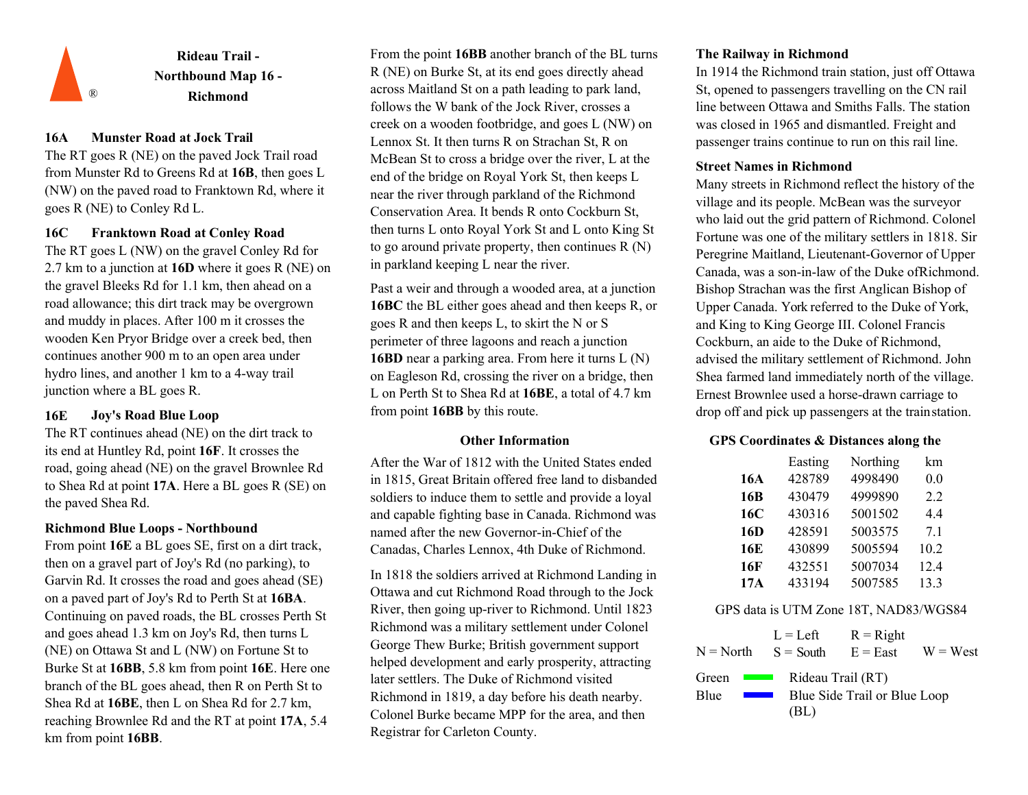![](_page_15_Picture_0.jpeg)

## **16A Munster Road at Jock Trail**

The RT goes R (NE) on the paved Jock Trail road from Munster Rd to Greens Rd at **16B**, then goes L (NW) on the paved road to Franktown Rd, where it goes R (NE) to Conley Rd L.

## **16C Franktown Road at Conley Road**

The RT goes L (NW) on the gravel Conley Rd for 2.7 km to a junction at **16D** where it goes R (NE) on the gravel Bleeks Rd for 1.1 km, then ahead on a road allowance; this dirt track may be overgrown and muddy in places. After 100 m it crosses the wooden Ken Pryor Bridge over a creek bed, then continues another 900 m to an open area under hydro lines, and another 1 km to a 4-way trail junction where a BL goes R.

## **16E Joy's Road Blue Loop**

The RT continues ahead (NE) on the dirt track to its end at Huntley Rd, point **16F**. It crosses the road, going ahead (NE) on the gravel Brownlee Rd to Shea Rd at point **17A**. Here a BL goes R (SE) on the paved Shea Rd.

## **Richmond Blue Loops - Northbound**

From point **16E** a BL goes SE, first on a dirt track, then on a gravel part of Joy's Rd (no parking), to Garvin Rd. It crosses the road and goes ahead (SE) on a paved part of Joy's Rd to Perth St at **16BA**. Continuing on paved roads, the BL crosses Perth St and goes ahead 1.3 km on Joy's Rd, then turns L (NE) on Ottawa St and L (NW) on Fortune St to Burke St at **16BB**, 5.8 km from point **16E**. Here one branch of the BL goes ahead, then R on Perth St to Shea Rd at **16BE**, then L on Shea Rd for 2.7 km, reaching Brownlee Rd and the RT at point **17A**, 5.4 km from point **16BB**.

From the point **16BB** another branch of the BL turns R (NE) on Burke St, at its end goes directly ahead across Maitland St on a path leading to park land, follows the W bank of the Jock River, crosses a creek on a wooden footbridge, and goes L (NW) on Lennox St. It then turns R on Strachan St, R on McBean St to cross a bridge over the river, L at the end of the bridge on Royal York St, then keeps L near the river through parkland of the Richmond Conservation Area. It bends R onto Cockburn St, then turns L onto Royal York St and L onto King St to go around private property, then continues R (N) in parkland keeping L near the river.

Past a weir and through a wooded area, at a junction **16BC** the BL either goes ahead and then keeps R, or goes R and then keeps L, to skirt the N or S perimeter of three lagoons and reach a junction **16BD** near a parking area. From here it turns L (N) on Eagleson Rd, crossing the river on a bridge, then L on Perth St to Shea Rd at **16BE**, a total of 4.7 km from point **16BB** by this route.

#### **Other Information**

After the War of 1812 with the United States ended in 1815, Great Britain offered free land to disbanded soldiers to induce them to settle and provide a loyal and capable fighting base in Canada. Richmond was named after the new Governor-in-Chief of the Canadas, Charles Lennox, 4th Duke of Richmond.

In 1818 the soldiers arrived at Richmond Landing in Ottawa and cut Richmond Road through to the Jock River, then going up-river to Richmond. Until 1823 Richmond was a military settlement under Colonel George Thew Burke; British government support helped development and early prosperity, attracting later settlers. The Duke of Richmond visited Richmond in 1819, a day before his death nearby. Colonel Burke became MPP for the area, and then Registrar for Carleton County.

## **The Railway in Richmond**

In 1914 the Richmond train station, just off Ottawa St, opened to passengers travelling on the CN rail line between Ottawa and Smiths Falls. The station was closed in 1965 and dismantled. Freight and passenger trains continue to run on this rail line.

#### **Street Names in Richmond**

Many streets in Richmond reflect the history of the village and its people. McBean was the surveyor who laid out the grid pattern of Richmond. Colonel Fortune was one of the military settlers in 1818. Sir Peregrine Maitland, Lieutenant-Governor of Upper Canada, was a son-in-law of the Duke ofRichmond. Bishop Strachan was the first Anglican Bishop of Upper Canada. York referred to the Duke of York, and King to King George III. Colonel Francis Cockburn, an aide to the Duke of Richmond, advised the military settlement of Richmond. John Shea farmed land immediately north of the village. Ernest Brownlee used a horse-drawn carriage to drop off and pick up passengers at the trainstation.

## **GPS Coordinates & Distances along the**

|     | Easting | Northing | km   |
|-----|---------|----------|------|
| 16A | 428789  | 4998490  | 0.0  |
| 16B | 430479  | 4999890  | 2.2  |
| 16C | 430316  | 5001502  | 4.4  |
| 16D | 428591  | 5003575  | 7.1  |
| 16E | 430899  | 5005594  | 10.2 |
| 16F | 432551  | 5007034  | 12.4 |
| 17A | 433194  | 5007585  | 13.3 |

## GPS data is UTM Zone 18T, NAD83/WGS84

| $N = North$ $S = South$                                                                 | $L = Left$                | $R = Right$<br>$E = East$    | $W = West$ |
|-----------------------------------------------------------------------------------------|---------------------------|------------------------------|------------|
| Green<br><b>Contract Contract</b><br>Blue<br><b>Contract Contract Contract Contract</b> | Rideau Trail (RT)<br>(BL) | Blue Side Trail or Blue Loop |            |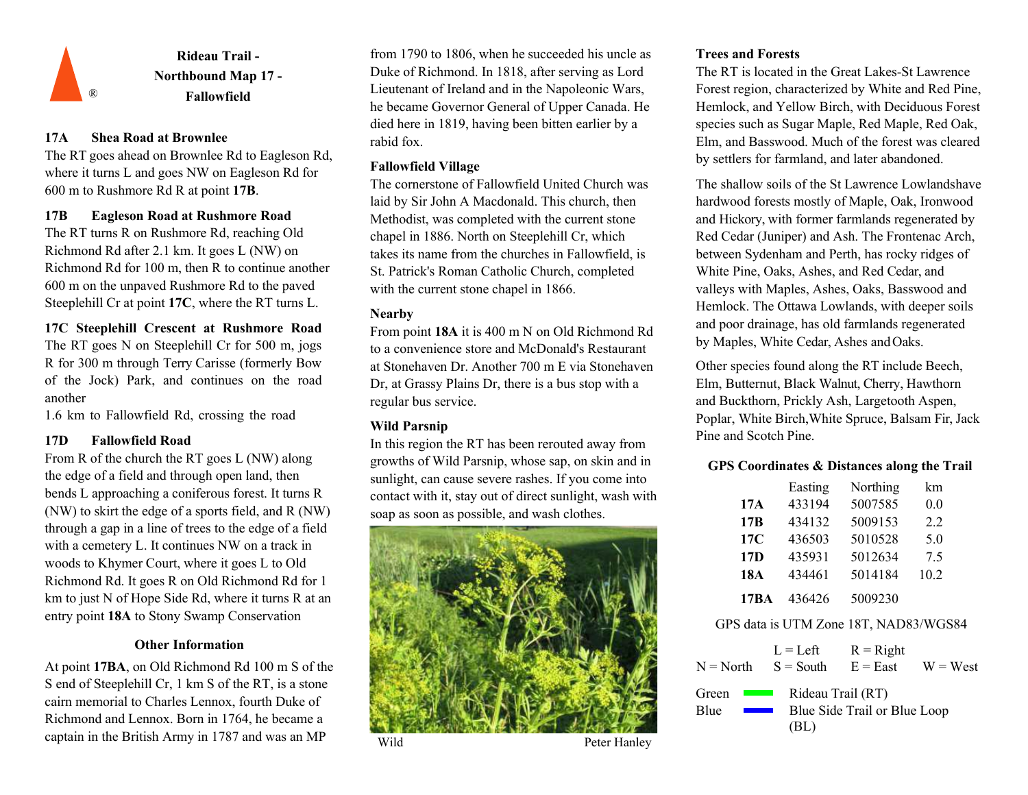![](_page_16_Picture_0.jpeg)

## **17A Shea Road at Brownlee**

The RT goes ahead on Brownlee Rd to Eagleson Rd, where it turns L and goes NW on Eagleson Rd for 600 m to Rushmore Rd R at point **17B**.

## **17B Eagleson Road at Rushmore Road**

The RT turns R on Rushmore Rd, reaching Old Richmond Rd after 2.1 km. It goes L (NW) on Richmond Rd for 100 m, then R to continue another 600 m on the unpaved Rushmore Rd to the paved Steeplehill Cr at point **17C**, where the RT turns L.

**17C Steeplehill Crescent at Rushmore Road**  The RT goes N on Steeplehill Cr for 500 m, jogs R for 300 m through Terry Carisse (formerly Bow of the Jock) Park, and continues on the road another

1.6 km to Fallowfield Rd, crossing the road

## **17D Fallowfield Road**

From R of the church the RT goes L (NW) along the edge of a field and through open land, then bends L approaching a coniferous forest. It turns R (NW) to skirt the edge of a sports field, and R (NW) through a gap in a line of trees to the edge of a field with a cemetery L. It continues NW on a track in woods to Khymer Court, where it goes L to Old Richmond Rd. It goes R on Old Richmond Rd for 1 km to just N of Hope Side Rd, where it turns R at an entry point **18A** to Stony Swamp Conservation

## **Other Information**

At point **17BA**, on Old Richmond Rd 100 m S of the S end of Steeplehill Cr, 1 km S of the RT, is a stone cairn memorial to Charles Lennox, fourth Duke of Richmond and Lennox. Born in 1764, he became a captain in the British Army in 1787 and was an MP

from 1790 to 1806, when he succeeded his uncle as Duke of Richmond. In 1818, after serving as Lord Lieutenant of Ireland and in the Napoleonic Wars, he became Governor General of Upper Canada. He died here in 1819, having been bitten earlier by a rabid fox.

## **Fallowfield Village**

The cornerstone of Fallowfield United Church was laid by Sir John A Macdonald. This church, then Methodist, was completed with the current stone chapel in 1886. North on Steeplehill Cr, which takes its name from the churches in Fallowfield, is St. Patrick's Roman Catholic Church, completed with the current stone chapel in 1866.

## **Nearby**

From point **18A** it is 400 m N on Old Richmond Rd to a convenience store and McDonald's Restaurant at Stonehaven Dr. Another 700 m E via Stonehaven Dr, at Grassy Plains Dr, there is a bus stop with a regular bus service.

# **Wild Parsnip**

In this region the RT has been rerouted away from growths of Wild Parsnip, whose sap, on skin and in sunlight, can cause severe rashes. If you come into contact with it, stay out of direct sunlight, wash with soap as soon as possible, and wash clothes.

![](_page_16_Picture_18.jpeg)

## **Trees and Forests**

The RT is located in the Great Lakes-St Lawrence Forest region, characterized by White and Red Pine, Hemlock, and Yellow Birch, with Deciduous Forest species such as Sugar Maple, Red Maple, Red Oak, Elm, and Basswood. Much of the forest was cleared by settlers for farmland, and later abandoned.

The shallow soils of the St Lawrence Lowlandshave hardwood forests mostly of Maple, Oak, Ironwood and Hickory, with former farmlands regenerated by Red Cedar (Juniper) and Ash. The Frontenac Arch, between Sydenham and Perth, has rocky ridges of White Pine, Oaks, Ashes, and Red Cedar, and valleys with Maples, Ashes, Oaks, Basswood and Hemlock. The Ottawa Lowlands, with deeper soils and poor drainage, has old farmlands regenerated by Maples, White Cedar, Ashes andOaks.

Other species found along the RT include Beech, Elm, Butternut, Black Walnut, Cherry, Hawthorn and Buckthorn, Prickly Ash, Largetooth Aspen, Poplar, White Birch,White Spruce, Balsam Fir, Jack Pine and Scotch Pine.

## **GPS Coordinates & Distances along the Trail**

|                                       | Easting           | Northing                     | km         |
|---------------------------------------|-------------------|------------------------------|------------|
| 17A                                   | 433194            | 5007585                      | 0.0        |
| 17B                                   | 434132            | 5009153                      | 2.2        |
| 17C                                   | 436503            | 5010528                      | 5.0        |
| 17 <sub>D</sub>                       | 435931            | 5012634                      | 7.5        |
| 18A                                   | 434461            | 5014184                      | 10.2       |
| <b>17BA</b>                           | 436426            | 5009230                      |            |
| GPS data is UTM Zone 18T, NAD83/WGS84 |                   |                              |            |
|                                       | $L = Left$        | $R = Right$                  |            |
| $N = North$                           | $S =$ South       | $E = East$                   | $W = West$ |
| Green                                 | Rideau Trail (RT) |                              |            |
| Blue                                  |                   | Blue Side Trail or Blue Loop |            |

(BL)

Wild Peter Hanley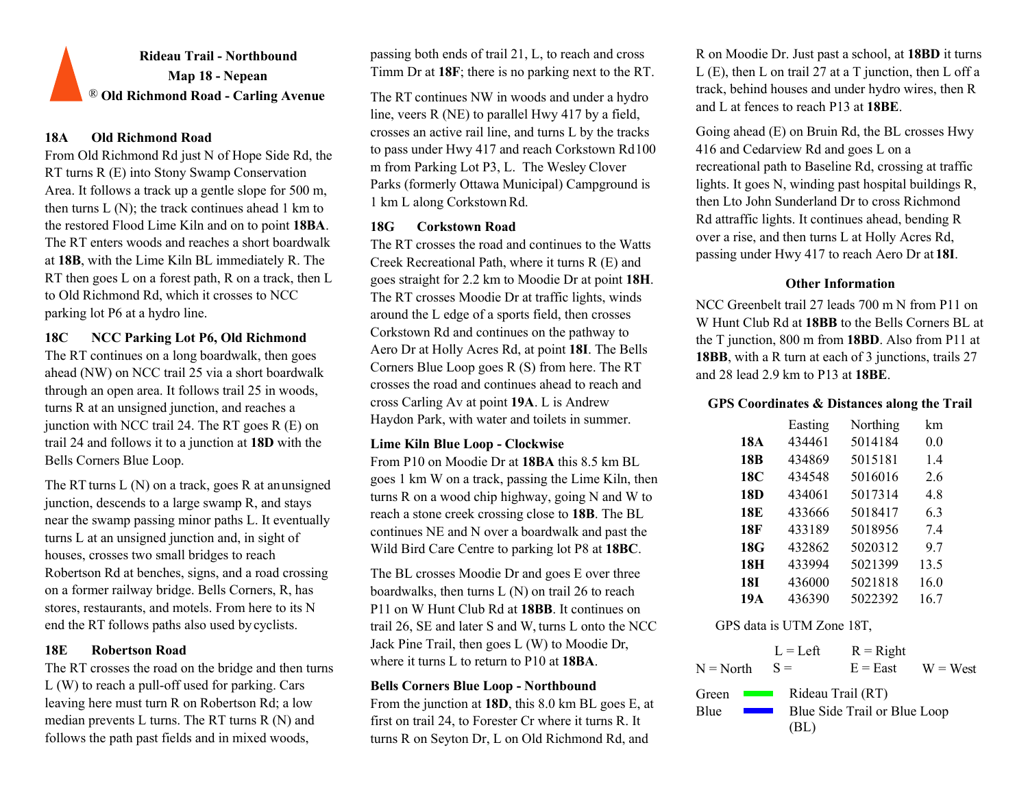# **Rideau Trail - Northbound Map 18 - Nepean** ® **Old Richmond Road - Carling Avenue**

## **18A Old Richmond Road**

From Old Richmond Rd just N of Hope Side Rd, the RT turns R (E) into Stony Swamp Conservation Area. It follows a track up a gentle slope for 500 m, then turns  $L(N)$ ; the track continues ahead 1 km to the restored Flood Lime Kiln and on to point **18BA**. The RT enters woods and reaches a short boardwalk at **18B**, with the Lime Kiln BL immediately R. The RT then goes L on a forest path, R on a track, then L to Old Richmond Rd, which it crosses to NCC parking lot P6 at a hydro line.

## **18C NCC Parking Lot P6, Old Richmond**

The RT continues on a long boardwalk, then goes ahead (NW) on NCC trail 25 via a short boardwalk through an open area. It follows trail 25 in woods, turns R at an unsigned junction, and reaches a junction with NCC trail 24. The RT goes R (E) on trail 24 and follows it to a junction at **18D** with the Bells Corners Blue Loop.

The RT turns L (N) on a track, goes R at anunsigned junction, descends to a large swamp R, and stays near the swamp passing minor paths L. It eventually turns L at an unsigned junction and, in sight of houses, crosses two small bridges to reach Robertson Rd at benches, signs, and a road crossing on a former railway bridge. Bells Corners, R, has stores, restaurants, and motels. From here to its N end the RT follows paths also used bycyclists.

The RT crosses the road on the bridge and then turns  $\frac{W}{R}$  where it turns E to return to PTO at 18BA.  $N = North$   $S =$   $E = East$ L (W) to reach a pull-off used for parking. Cars leaving here must turn R on Robertson Rd; a low median prevents L turns. The RT turns R (N) and follows the path past fields and in mixed woods,

passing both ends of trail 21, L, to reach and cross Timm Dr at **18F**; there is no parking next to the RT.

The RT continues NW in woods and under a hydro line, veers R (NE) to parallel Hwy 417 by a field, crosses an active rail line, and turns L by the tracks to pass under Hwy 417 and reach Corkstown Rd100 m from Parking Lot P3, L. The Wesley Clover Parks (formerly Ottawa Municipal) Campground is 1 km L along CorkstownRd.

## **18G Corkstown Road**

The RT crosses the road and continues to the Watts Creek Recreational Path, where it turns R (E) and goes straight for 2.2 km to Moodie Dr at point **18H**. The RT crosses Moodie Dr at traffic lights, winds around the L edge of a sports field, then crosses Corkstown Rd and continues on the pathway to Aero Dr at Holly Acres Rd, at point **18I**. The Bells Corners Blue Loop goes R (S) from here. The RT crosses the road and continues ahead to reach and cross Carling Av at point **19A**. L is Andrew Haydon Park, with water and toilets in summer.

## **Lime Kiln Blue Loop - Clockwise**

From P10 on Moodie Dr at **18BA** this 8.5 km BL goes 1 km W on a track, passing the Lime Kiln, then turns R on a wood chip highway, going N and W to reach a stone creek crossing close to **18B**. The BL continues NE and N over a boardwalk and past the Wild Bird Care Centre to parking lot P8 at **18BC**.

The BL crosses Moodie Dr and goes E over three boardwalks, then turns L (N) on trail 26 to reach P11 on W Hunt Club Rd at **18BB**. It continues on trail 26, SE and later S and W, turns L onto the NCC Jack Pine Trail, then goes L (W) to Moodie Dr, where it turns L to return to P10 at **18BA**. **18E Robertson Road** L = Left

## **Bells Corners Blue Loop - Northbound**

From the junction at **18D**, this 8.0 km BL goes E, at first on trail 24, to Forester Cr where it turns R. It turns R on Seyton Dr, L on Old Richmond Rd, and

R on Moodie Dr. Just past a school, at **18BD** it turns L (E), then L on trail 27 at a T junction, then L off a track, behind houses and under hydro wires, then R and L at fences to reach P13 at **18BE**.

Going ahead (E) on Bruin Rd, the BL crosses Hwy 416 and Cedarview Rd and goes L on a recreational path to Baseline Rd, crossing at traffic lights. It goes N, winding past hospital buildings R, then Lto John Sunderland Dr to cross Richmond Rd attraffic lights. It continues ahead, bending R over a rise, and then turns L at Holly Acres Rd, passing under Hwy 417 to reach Aero Dr at **18I**.

## **Other Information**

NCC Greenbelt trail 27 leads 700 m N from P11 on W Hunt Club Rd at **18BB** to the Bells Corners BL at the T junction, 800 m from **18BD**. Also from P11 at **18BB**, with a R turn at each of 3 junctions, trails 27 and 28 lead 2.9 km to P13 at **18BE**.

## **GPS Coordinates & Distances along the Trail**

|                 | Easting | Northing | km   |
|-----------------|---------|----------|------|
| 18A             | 434461  | 5014184  | 0.0  |
| 18 <sub>B</sub> | 434869  | 5015181  | 1.4  |
| 18C             | 434548  | 5016016  | 2.6  |
| 18 <sub>D</sub> | 434061  | 5017314  | 4.8  |
| 18E             | 433666  | 5018417  | 6.3  |
| <b>18F</b>      | 433189  | 5018956  | 7.4  |
| 18G             | 432862  | 5020312  | 9.7  |
| 18H             | 433994  | 5021399  | 13.5 |
| 18I             | 436000  | 5021818  | 16.0 |
| 19A             | 436390  | 5022392  | 16.7 |

GPS data is UTM Zone 18T,

 $S =$  $R = Right$  $N = North$   $S =$   $E = East$   $W = West$ Green **I** Blue Rideau Trail (RT) Blue Side Trail or Blue Loop (BL)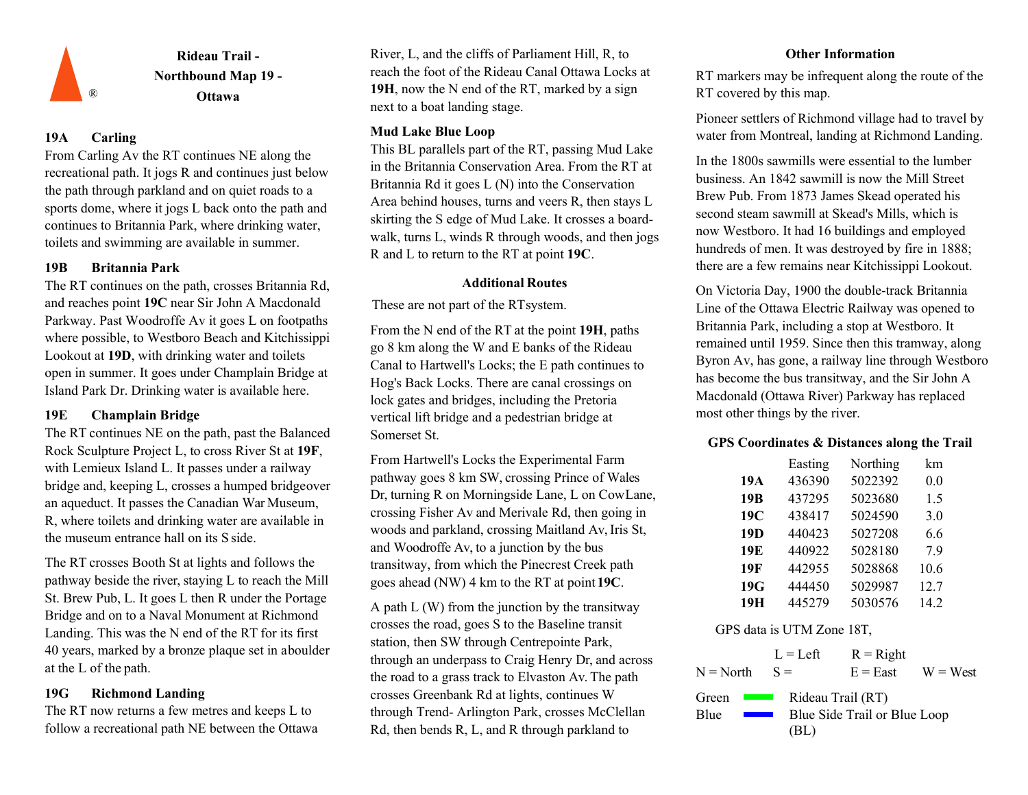![](_page_18_Picture_0.jpeg)

## **19A Carling**

From Carling Av the RT continues NE along the recreational path. It jogs R and continues just below the path through parkland and on quiet roads to a sports dome, where it jogs L back onto the path and continues to Britannia Park, where drinking water, toilets and swimming are available in summer.

### **19B Britannia Park**

The RT continues on the path, crosses Britannia Rd, and reaches point **19C** near Sir John A Macdonald Parkway. Past Woodroffe Av it goes L on footpaths where possible, to Westboro Beach and Kitchissippi Lookout at **19D**, with drinking water and toilets open in summer. It goes under Champlain Bridge at Island Park Dr. Drinking water is available here.

## **19E Champlain Bridge**

The RT continues NE on the path, past the Balanced Rock Sculpture Project L, to cross River St at **19F**, with Lemieux Island L. It passes under a railway bridge and, keeping L, crosses a humped bridgeover an aqueduct. It passes the Canadian War Museum, R, where toilets and drinking water are available in the museum entrance hall on its S side.

The RT crosses Booth St at lights and follows the pathway beside the river, staying L to reach the Mill St. Brew Pub, L. It goes L then R under the Portage Bridge and on to a Naval Monument at Richmond Landing. This was the N end of the RT for its first 40 years, marked by a bronze plaque set in aboulder at the L of the path.

The RT now returns a few metres and keeps L to follow a recreational path NE between the Ottawa

River, L, and the cliffs of Parliament Hill, R, to reach the foot of the Rideau Canal Ottawa Locks at **19H**, now the N end of the RT, marked by a sign next to a boat landing stage.

## **Mud Lake Blue Loop**

This BL parallels part of the RT, passing Mud Lake in the Britannia Conservation Area. From the RT at Britannia Rd it goes L (N) into the Conservation Area behind houses, turns and veers R, then stays L skirting the S edge of Mud Lake. It crosses a boardwalk, turns L, winds R through woods, and then jogs R and L to return to the RT at point **19C**.

## **Additional Routes**

These are not part of the RTsystem.

From the N end of the RT at the point **19H**, paths go 8 km along the W and E banks of the Rideau Canal to Hartwell's Locks; the E path continues to Hog's Back Locks. There are canal crossings on lock gates and bridges, including the Pretoria vertical lift bridge and a pedestrian bridge at Somerset St.

From Hartwell's Locks the Experimental Farm pathway goes 8 km SW, crossing Prince of Wales Dr, turning R on Morningside Lane, L on CowLane, crossing Fisher Av and Merivale Rd, then going in woods and parkland, crossing Maitland Av, Iris St, and Woodroffe Av, to a junction by the bus transitway, from which the Pinecrest Creek path goes ahead (NW) 4 km to the RT at point**19C**.

A path L (W) from the junction by the transitway crosses the road, goes S to the Baseline transit station, then SW through Centrepointe Park, through an underpass to Craig Henry Dr, and across the road to a grass track to Elvaston Av. The path **19G Richmond Landing 19G CONSERVING CONSERVING CONSERVING CONSERVING CONSERVING CONSERVING CONSERVING CONSERVING CONSERVING CONSERVING CONSERVING CONSERVING CONSERVING CONSERVING CONSERVING CONSERVING CONSERVING CON** through Trend- Arlington Park, crosses McClellan Rd, then bends R, L, and R through parkland to

## **Other Information**

RT markers may be infrequent along the route of the RT covered by this map.

Pioneer settlers of Richmond village had to travel by water from Montreal, landing at Richmond Landing.

In the 1800s sawmills were essential to the lumber business. An 1842 sawmill is now the Mill Street Brew Pub. From 1873 James Skead operated his second steam sawmill at Skead's Mills, which is now Westboro. It had 16 buildings and employed hundreds of men. It was destroyed by fire in 1888; there are a few remains near Kitchissippi Lookout.

On Victoria Day, 1900 the double-track Britannia Line of the Ottawa Electric Railway was opened to Britannia Park, including a stop at Westboro. It remained until 1959. Since then this tramway, along Byron Av, has gone, a railway line through Westboro has become the bus transitway, and the Sir John A Macdonald (Ottawa River) Parkway has replaced most other things by the river.

## **GPS Coordinates & Distances along the Trail**

|                 | Easting | Northing | km   |
|-----------------|---------|----------|------|
| 19A             | 436390  | 5022392  | 0.0  |
| 19 <sub>B</sub> | 437295  | 5023680  | 1.5  |
| 19C             | 438417  | 5024590  | 3.0  |
| 19 <sub>D</sub> | 440423  | 5027208  | 6.6  |
| 19E             | 440922  | 5028180  | 7.9  |
| 19F             | 442955  | 5028868  | 10.6 |
| 19G             | 444450  | 5029987  | 12.7 |
| 19H             | 445279  | 5030576  | 14.2 |

GPS data is UTM Zone 18T,

 $L = L$ eft  $R =$ Right  $N = North$   $S =$   $E = East$   $W = West$  $S =$ Rideau Trail (RT) **Blue**  $\sim 100$ Blue Side Trail or Blue Loop (BL)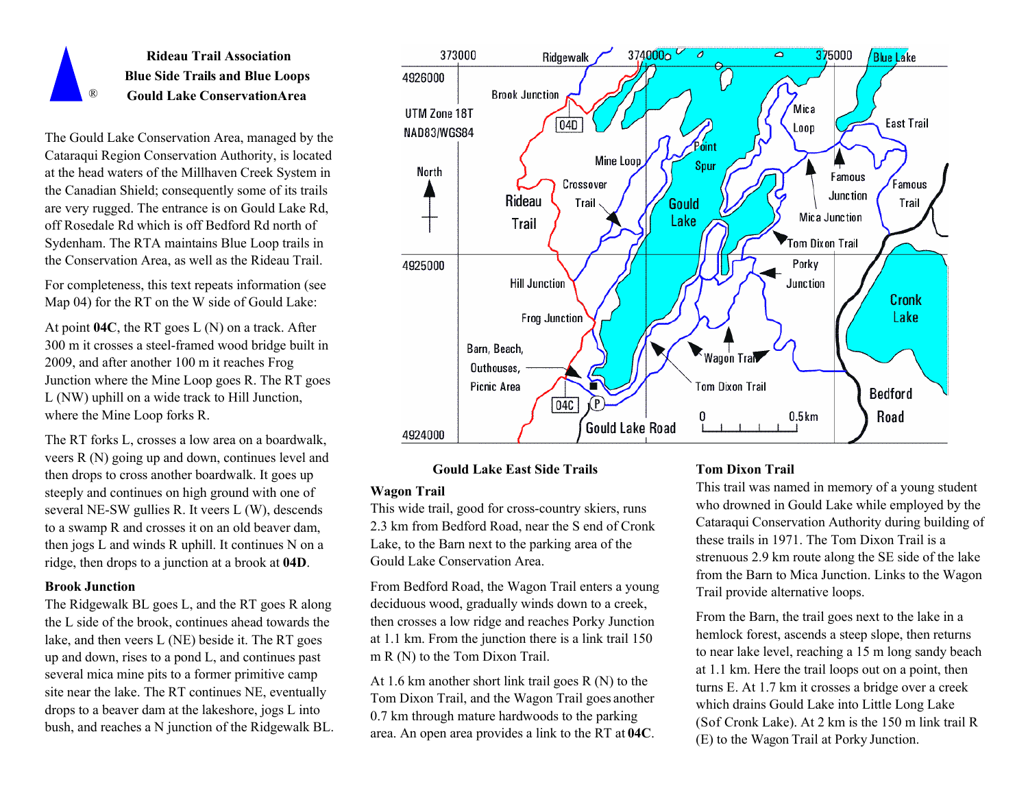![](_page_19_Picture_0.jpeg)

The Gould Lake Conservation Area, managed by the Cataraqui Region Conservation Authority, is located at the head waters of the Millhaven Creek System in the Canadian Shield; consequently some of its trails are very rugged. The entrance is on Gould Lake Rd, off Rosedale Rd which is off Bedford Rd north of Sydenham. The RTA maintains Blue Loop trails in the Conservation Area, as well as the Rideau Trail.

For completeness, this text repeats information (see Map 04) for the RT on the W side of Gould Lake:

At point **04C**, the RT goes L (N) on a track. After 300 m it crosses a steel-framed wood bridge built in 2009, and after another 100 m it reaches Frog Junction where the Mine Loop goes R. The RT goes L (NW) uphill on a wide track to Hill Junction, where the Mine Loop forks R.

The RT forks L, crosses a low area on a boardwalk, veers R (N) going up and down, continues level and then drops to cross another boardwalk. It goes up steeply and continues on high ground with one of several NE-SW gullies R. It veers L (W), descends to a swamp R and crosses it on an old beaver dam, then jogs L and winds R uphill. It continues N on a ridge, then drops to a junction at a brook at **04D**.

### **Brook Junction**

The Ridgewalk BL goes L, and the RT goes R along the L side of the brook, continues ahead towards the lake, and then veers L (NE) beside it. The RT goes up and down, rises to a pond L, and continues past several mica mine pits to a former primitive camp site near the lake. The RT continues NE, eventually drops to a beaver dam at the lakeshore, jogs L into bush, and reaches a N junction of the Ridgewalk BL.

![](_page_19_Figure_7.jpeg)

### **Gould Lake East Side Trails**

#### **Wagon Trail**

This wide trail, good for cross-country skiers, runs 2.3 km from Bedford Road, near the S end of Cronk Lake, to the Barn next to the parking area of the Gould Lake Conservation Area.

From Bedford Road, the Wagon Trail enters a young deciduous wood, gradually winds down to a creek, then crosses a low ridge and reaches Porky Junction at 1.1 km. From the junction there is a link trail 150 m R (N) to the Tom Dixon Trail.

At 1.6 km another short link trail goes R (N) to the Tom Dixon Trail, and the Wagon Trail goes another 0.7 km through mature hardwoods to the parking area. An open area provides a link to the RT at **04C**.

#### **Tom Dixon Trail**

This trail was named in memory of a young student who drowned in Gould Lake while employed by the Cataraqui Conservation Authority during building of these trails in 1971. The Tom Dixon Trail is a strenuous 2.9 km route along the SE side of the lake from the Barn to Mica Junction. Links to the Wagon Trail provide alternative loops.

From the Barn, the trail goes next to the lake in a hemlock forest, ascends a steep slope, then returns to near lake level, reaching a 15 m long sandy beach at 1.1 km. Here the trail loops out on a point, then turns E. At 1.7 km it crosses a bridge over a creek which drains Gould Lake into Little Long Lake (Sof Cronk Lake). At 2 km is the 150 m link trail R (E) to the Wagon Trail at Porky Junction.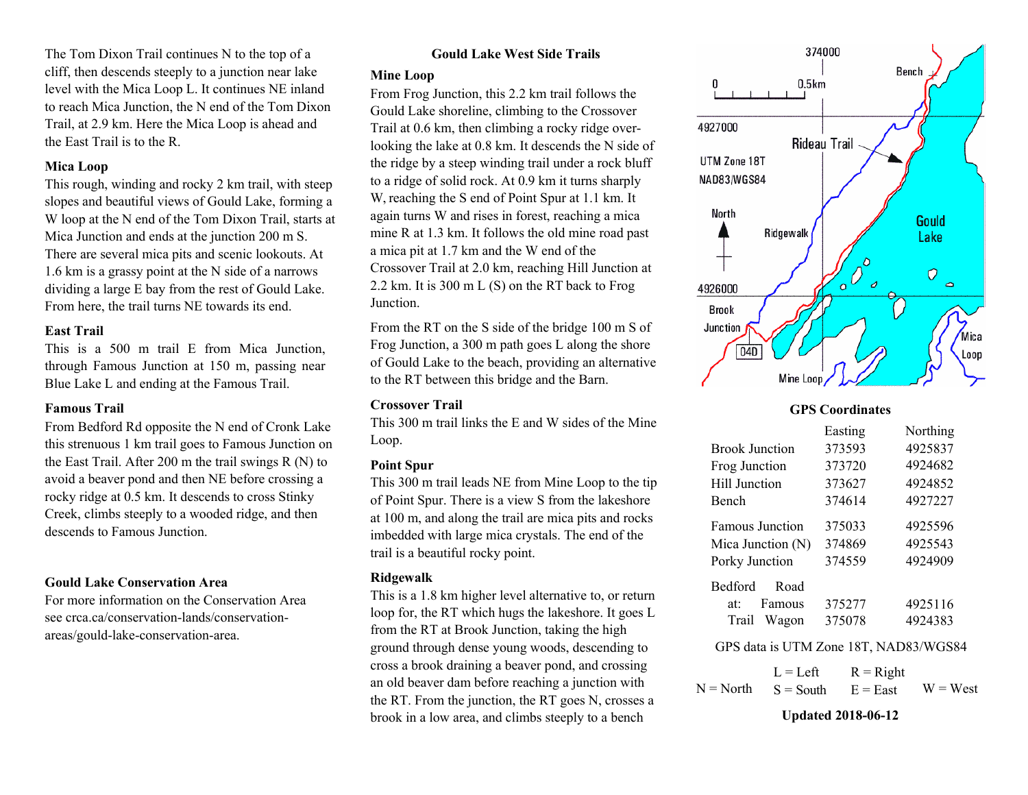The Tom Dixon Trail continues N to the top of a cliff, then descends steeply to a junction near lake level with the Mica Loop L. It continues NE inland to reach Mica Junction, the N end of the Tom Dixon Trail, at 2.9 km. Here the Mica Loop is ahead and the East Trail is to the R.

### **Mica Loop**

This rough, winding and rocky 2 km trail, with steep slopes and beautiful views of Gould Lake, forming a W loop at the N end of the Tom Dixon Trail, starts at Mica Junction and ends at the junction 200 m S. There are several mica pits and scenic lookouts. At 1.6 km is a grassy point at the N side of a narrows dividing a large E bay from the rest of Gould Lake. From here, the trail turns NE towards its end.

## **East Trail**

This is a 500 m trail E from Mica Junction, through Famous Junction at 150 m, passing near Blue Lake L and ending at the Famous Trail.

## **Famous Trail**

From Bedford Rd opposite the N end of Cronk Lake this strenuous 1 km trail goes to Famous Junction on the East Trail. After 200 m the trail swings R (N) to avoid a beaver pond and then NE before crossing a rocky ridge at 0.5 km. It descends to cross Stinky Creek, climbs steeply to a wooded ridge, and then descends to Famous Junction.

## **Gould Lake Conservation Area**

For more information on the Conservation Area see crca.ca/conservation-lands/conservationareas/gould-lake-conservation-area.

## **Gould Lake West Side Trails**

### **Mine Loop**

From Frog Junction, this 2.2 km trail follows the Gould Lake shoreline, climbing to the Crossover Trail at 0.6 km, then climbing a rocky ridge overlooking the lake at 0.8 km. It descends the N side of the ridge by a steep winding trail under a rock bluff to a ridge of solid rock. At 0.9 km it turns sharply W, reaching the S end of Point Spur at 1.1 km. It again turns W and rises in forest, reaching a mica mine R at 1.3 km. It follows the old mine road past a mica pit at 1.7 km and the W end of the Crossover Trail at 2.0 km, reaching Hill Junction at 2.2 km. It is 300 m L (S) on the RT back to Frog Junction.

From the RT on the S side of the bridge 100 m S of Frog Junction, a 300 m path goes L along the shore of Gould Lake to the beach, providing an alternative to the RT between this bridge and the Barn.

### **Crossover Trail**

This 300 m trail links the E and W sides of the Mine Loop.

## **Point Spur**

This 300 m trail leads NE from Mine Loop to the tip of Point Spur. There is a view S from the lakeshore at 100 m, and along the trail are mica pits and rocks imbedded with large mica crystals. The end of the trail is a beautiful rocky point.

## **Ridgewalk**

This is a 1.8 km higher level alternative to, or return loop for, the RT which hugs the lakeshore. It goes L from the RT at Brook Junction, taking the high ground through dense young woods, descending to cross a brook draining a beaver pond, and crossing an old beaver dam before reaching a junction with the RT. From the junction, the RT goes N, crosses a brook in a low area, and climbs steeply to a bench

![](_page_20_Figure_19.jpeg)

## **GPS Coordinates**

| Easting | Northing |
|---------|----------|
| 373593  | 4925837  |
| 373720  | 4924682  |
| 373627  | 4924852  |
| 374614  | 4927227  |
| 375033  | 4925596  |
| 374869  | 4925543  |
| 374559  | 4924909  |
|         |          |
| 375277  | 4925116  |
| 375078  | 4924383  |
|         |          |

## GPS data is UTM Zone 18T, NAD83/WGS84

 $L = Left$  $N = North$   $S = South$   $E = East$   $W = West$  $R = Right$ 

## **Updated 2018-06-12**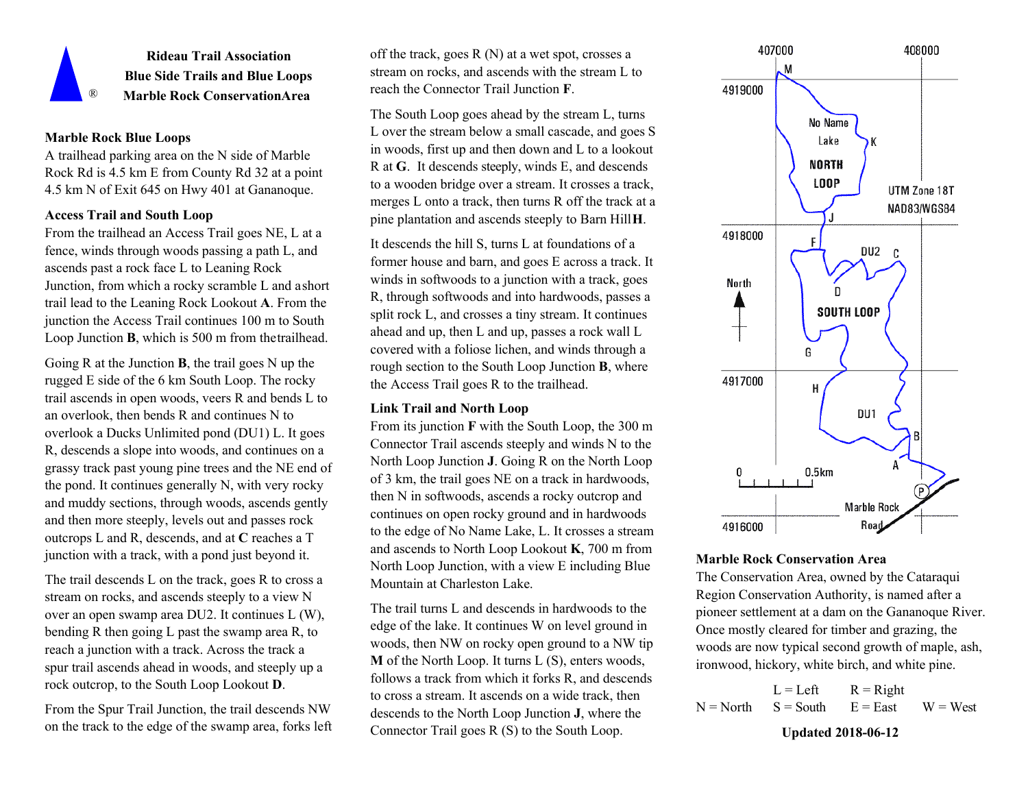![](_page_21_Picture_0.jpeg)

**Rideau Trail Association Blue Side Trails and Blue Loops**  ® **Marble Rock ConservationArea**

## **Marble Rock Blue Loops**

A trailhead parking area on the N side of Marble Rock Rd is 4.5 km E from County Rd 32 at a point 4.5 km N of Exit 645 on Hwy 401 at Gananoque.

### **Access Trail and South Loop**

From the trailhead an Access Trail goes NE, L at a fence, winds through woods passing a path L, and ascends past a rock face L to Leaning Rock Junction, from which a rocky scramble L and ashort trail lead to the Leaning Rock Lookout **A**. From the junction the Access Trail continues 100 m to South Loop Junction **B**, which is 500 m from thetrailhead.

Going R at the Junction **B**, the trail goes N up the rugged E side of the 6 km South Loop. The rocky trail ascends in open woods, veers R and bends L to an overlook, then bends R and continues N to overlook a Ducks Unlimited pond (DU1) L. It goes R, descends a slope into woods, and continues on a grassy track past young pine trees and the NE end of the pond. It continues generally N, with very rocky and muddy sections, through woods, ascends gently and then more steeply, levels out and passes rock outcrops L and R, descends, and at **C** reaches a T junction with a track, with a pond just beyond it.

The trail descends L on the track, goes R to cross a stream on rocks, and ascends steeply to a view N over an open swamp area DU2. It continues L (W), bending R then going L past the swamp area R, to reach a junction with a track. Across the track a spur trail ascends ahead in woods, and steeply up a rock outcrop, to the South Loop Lookout **D**.

From the Spur Trail Junction, the trail descends NW on the track to the edge of the swamp area, forks left off the track, goes R (N) at a wet spot, crosses a stream on rocks, and ascends with the stream L to reach the Connector Trail Junction **F**.

The South Loop goes ahead by the stream L, turns L over the stream below a small cascade, and goes S in woods, first up and then down and L to a lookout R at **G**. It descends steeply, winds E, and descends to a wooden bridge over a stream. It crosses a track, merges L onto a track, then turns R off the track at a pine plantation and ascends steeply to Barn Hill**H**.

It descends the hill S, turns L at foundations of a former house and barn, and goes E across a track. It winds in softwoods to a junction with a track, goes R, through softwoods and into hardwoods, passes a split rock L, and crosses a tiny stream. It continues ahead and up, then L and up, passes a rock wall L covered with a foliose lichen, and winds through a rough section to the South Loop Junction **B**, where the Access Trail goes R to the trailhead.

## **Link Trail and North Loop**

From its junction **F** with the South Loop, the 300 m Connector Trail ascends steeply and winds N to the North Loop Junction **J**. Going R on the North Loop of 3 km, the trail goes NE on a track in hardwoods, then N in softwoods, ascends a rocky outcrop and continues on open rocky ground and in hardwoods to the edge of No Name Lake, L. It crosses a stream and ascends to North Loop Lookout **K**, 700 m from North Loop Junction, with a view E including Blue Mountain at Charleston Lake.

The trail turns L and descends in hardwoods to the edge of the lake. It continues W on level ground in woods, then NW on rocky open ground to a NW tip **M** of the North Loop. It turns L (S), enters woods, follows a track from which it forks R, and descends to cross a stream. It ascends on a wide track, then descends to the North Loop Junction **J**, where the Connector Trail goes R (S) to the South Loop.

![](_page_21_Figure_15.jpeg)

## **Marble Rock Conservation Area**

The Conservation Area, owned by the Cataraqui Region Conservation Authority, is named after a pioneer settlement at a dam on the Gananoque River. Once mostly cleared for timber and grazing, the woods are now typical second growth of maple, ash, ironwood, hickory, white birch, and white pine.

 $L = Let$  $S =$  South  $R = Right$  $N = North$   $S = South$   $E = East$   $W = West$ 

**Updated 2018-06-12**